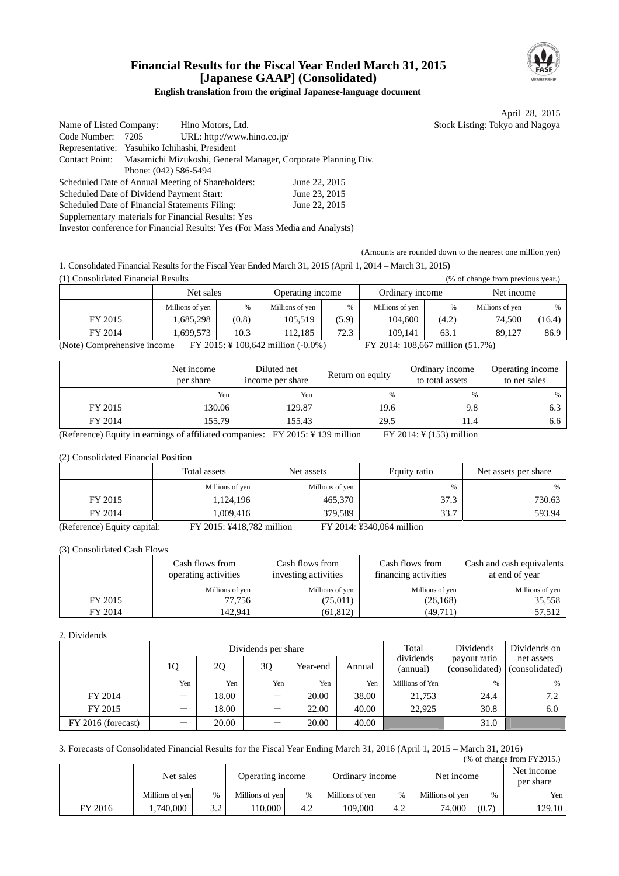

## **Financial Results for the Fiscal Year Ended March 31, 2015 [Japanese GAAP] (Consolidated)**

#### **English translation from the original Japanese-language document**

April 28, 2015 Stock Listing: Tokyo and Nagoya

| Name of Listed Company:                                                      |                                                                              | Hino Motors, Ltd.                                 |               |  |  |  |  |  |
|------------------------------------------------------------------------------|------------------------------------------------------------------------------|---------------------------------------------------|---------------|--|--|--|--|--|
| Code Number:                                                                 | 7205                                                                         | URL: http://www.hino.co.jp/                       |               |  |  |  |  |  |
| Representative: Yasuhiko Ichihashi, President                                |                                                                              |                                                   |               |  |  |  |  |  |
|                                                                              | Contact Point: Masamichi Mizukoshi, General Manager, Corporate Planning Div. |                                                   |               |  |  |  |  |  |
|                                                                              | Phone: (042) 586-5494                                                        |                                                   |               |  |  |  |  |  |
|                                                                              |                                                                              | Scheduled Date of Annual Meeting of Shareholders: | June 22, 2015 |  |  |  |  |  |
| Scheduled Date of Dividend Payment Start:                                    |                                                                              |                                                   | June 23, 2015 |  |  |  |  |  |
| Scheduled Date of Financial Statements Filing:                               |                                                                              |                                                   | June 22, 2015 |  |  |  |  |  |
| Supplementary materials for Financial Results: Yes                           |                                                                              |                                                   |               |  |  |  |  |  |
| Investor conference for Financial Results: Yes (For Mass Media and Analysts) |                                                                              |                                                   |               |  |  |  |  |  |

(Amounts are rounded down to the nearest one million yen)

1. Consolidated Financial Results for the Fiscal Year Ended March 31, 2015 (April 1, 2014 – March 31, 2015)  $(1)$  Consolidated Financial Results

| (1) Consondated Financial Results                                                                     |                 |       |                  | (% of change from previous year.) |                 |       |                 |        |
|-------------------------------------------------------------------------------------------------------|-----------------|-------|------------------|-----------------------------------|-----------------|-------|-----------------|--------|
|                                                                                                       | Net sales       |       | Operating income |                                   | Ordinary income |       | Net income      |        |
|                                                                                                       | Millions of yen | %     | Millions of yen  | %                                 | Millions of yen | %     | Millions of yen | %      |
| FY 2015                                                                                               | 1,685,298       | (0.8) | 105.519          | (5.9)                             | 104,600         | (4.2) | 74,500          | (16.4) |
| FY 2014                                                                                               | 1.699.573       | 10.3  | 112.185          | 72.3                              | 109.141         | 63.1  | 89.127          | 86.9   |
| (Note) Comprehensive income<br>FY 2015: ¥ 108,642 million (-0.0%)<br>FY 2014: 108,667 million (51.7%) |                 |       |                  |                                   |                 |       |                 |        |

Net income per share Diluted net Diluted net<br>income per share Return on equity Ordinary income<br>to total assets to total assets Operating income to net sales Yen Yen % % % FY 2015  $|$  130.06 129.87 19.6 19.6 9.8 6.3 FY 2014  $\vert$  155.79  $\vert$  155.43  $\vert$  29.5 11.4 6.6

(Reference) Equity in earnings of affiliated companies: FY 2015: ¥ 139 million FY 2014: ¥ (153) million

(2) Consolidated Financial Position

|                            | Total assets                  | Net assets      | Equity ratio                | Net assets per share |
|----------------------------|-------------------------------|-----------------|-----------------------------|----------------------|
|                            | Millions of yen               | Millions of yen | $\%$                        | %                    |
| FY 2015                    | 1,124,196                     | 465,370         | 37.3                        | 730.63               |
| FY 2014                    | 1.009.416                     | 379.589         | 33.7                        | 593.94               |
| (Reference) Fauity capital | $EV$ 2015: $V/18$ 782 million |                 | $EV 2014. Y340.064$ million |                      |

(Reference) Equity capital: FY 2015: ¥418,782 million FY 2014: ¥340,064 million

(3) Consolidated Cash Flows

|         | Cash flows from<br>operating activities | Cash flows from<br>investing activities | Cash flows from<br>financing activities | Cash and cash equivalents<br>at end of year |  |
|---------|-----------------------------------------|-----------------------------------------|-----------------------------------------|---------------------------------------------|--|
|         | Millions of yen                         | Millions of yen                         | Millions of yen                         | Millions of yen                             |  |
| FY 2015 | 77.756                                  | (75,011)                                | (26, 168)                               | 35,558                                      |  |
| FY 2014 | 142.941                                 | (61, 812)                               | (49,711)                                | 57,512                                      |  |

#### 2. Dividends

|                    |                          |       | Dividends per share      |          | Total  | Dividends                                               | Dividends on  |                              |
|--------------------|--------------------------|-------|--------------------------|----------|--------|---------------------------------------------------------|---------------|------------------------------|
|                    | 10                       | 2Q    | 3Q                       | Year-end | Annual | dividends<br>payout ratio<br>(consolidated)<br>(annual) |               | net assets<br>(consolidated) |
|                    | Yen                      | Yen   | Yen                      | Yen      | Yen    | Millions of Yen                                         | $\frac{0}{6}$ | $\%$                         |
| FY 2014            | $\overline{\phantom{0}}$ | 18.00 | $\overline{\phantom{0}}$ | 20.00    | 38.00  | 21,753                                                  | 24.4          | 7.2                          |
| FY 2015            | $\overline{\phantom{m}}$ | 18.00 |                          | 22.00    | 40.00  | 22,925                                                  | 30.8          | 6.0                          |
| FY 2016 (forecast) |                          | 20.00 |                          | 20.00    | 40.00  |                                                         | 31.0          |                              |

3. Forecasts of Consolidated Financial Results for the Fiscal Year Ending March 31, 2016 (April 1, 2015 – March 31, 2016)

| (% of change from FY2015.) |
|----------------------------|
|                            |

|         | Net sales       |               | Operating income |      | Ordinary income |      | Net income      | Net income<br>per share |        |
|---------|-----------------|---------------|------------------|------|-----------------|------|-----------------|-------------------------|--------|
|         | Millions of ven | $\frac{0}{0}$ | Millions of yen  | $\%$ | Millions of yen | $\%$ | Millions of ven | $\%$                    | Yen I  |
| FY 2016 | . .740.000      | 2 J<br>ے ۔    | 10.000           | 4.2  | 109.000         | 4.2  | 74,000          | (0.7)                   | 129.10 |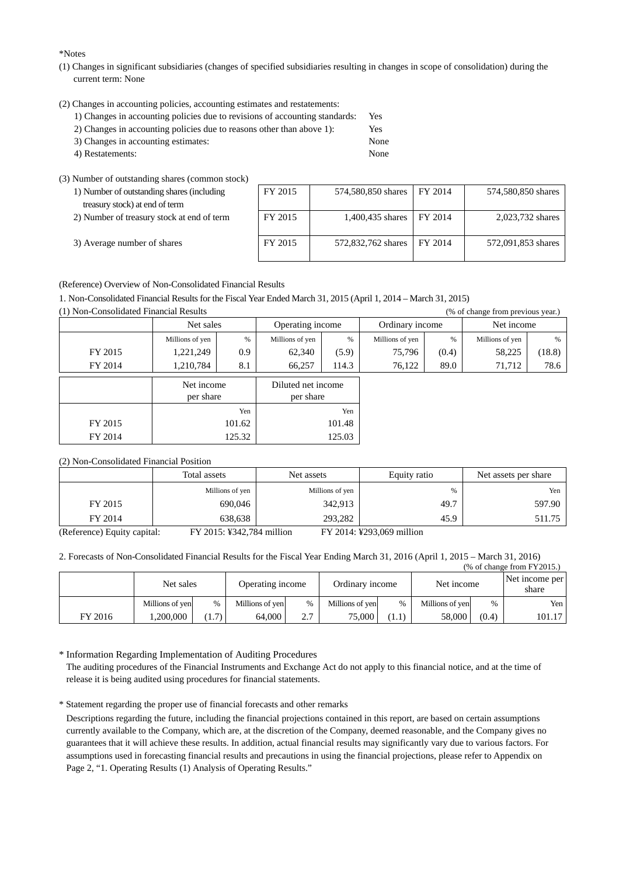\*Notes

- (1) Changes in significant subsidiaries (changes of specified subsidiaries resulting in changes in scope of consolidation) during the current term: None
- (2) Changes in accounting policies, accounting estimates and restatements:
	- 1) Changes in accounting policies due to revisions of accounting standards: Yes
	- 2) Changes in accounting policies due to reasons other than above 1): Yes
	- 3) Changes in accounting estimates: None 4) Restatements: None
	-

(3) Number of outstanding shares (common stock)

| 1) Number of outstanding shares (including<br>treasury stock) at end of term | FY 2015 | 574,580,850 shares | FY 2014 | 574,580,850 shares |
|------------------------------------------------------------------------------|---------|--------------------|---------|--------------------|
| 2) Number of treasury stock at end of term                                   | FY 2015 | 1,400,435 shares   | FY 2014 | 2,023,732 shares   |
| 3) Average number of shares                                                  | FY 2015 | 572,832,762 shares | FY 2014 | 572,091,853 shares |

(Reference) Overview of Non-Consolidated Financial Results

1. Non-Consolidated Financial Results for the Fiscal Year Ended March 31, 2015 (April 1, 2014 – March 31, 2015)

(1) Non-Consolidated Financial Results (% of change from previous year.)

|         |                 | Net sales               |                 | Operating income                |                 | Ordinary income | Net income      |        |
|---------|-----------------|-------------------------|-----------------|---------------------------------|-----------------|-----------------|-----------------|--------|
|         | Millions of yen | %                       | Millions of yen | %                               | Millions of yen | %               | Millions of yen | $\%$   |
| FY 2015 | 1,221,249       | 0.9                     | 62,340          | (5.9)                           | 75,796          | (0.4)           | 58,225          | (18.8) |
| FY 2014 | 1,210,784       | 8.1                     | 66,257          | 114.3                           | 76,122          | 89.0            | 71,712          | 78.6   |
|         |                 | Net income<br>per share |                 | Diluted net income<br>per share |                 |                 |                 |        |
|         |                 | Yen                     |                 | Yen                             |                 |                 |                 |        |
| FY 2015 |                 | 101.62                  | 101.48          |                                 |                 |                 |                 |        |
| FY 2014 |                 | 125.32                  |                 | 125.03                          |                 |                 |                 |        |

#### (2) Non-Consolidated Financial Position

|                          | Total assets                              | Net assets      | Equity ratio               | Net assets per share |
|--------------------------|-------------------------------------------|-----------------|----------------------------|----------------------|
|                          | Millions of yen                           | Millions of yen | %                          | Yen                  |
| FY 2015                  | 690,046                                   | 342,913         | 49.7                       | 597.90               |
| FY 2014                  | 638.638                                   | 293.282         | 45.9                       | 511.75               |
| $(D - f_1, \ldots, f_n)$ | $\Gamma V$ 0015, $V$ 40.704 $\ldots$ 111. |                 | $E V 2014. V202.001$ $E V$ |                      |

(Reference) Equity capital: FY 2015: ¥342,784 million FY 2014: ¥293,069 million

2. Forecasts of Non-Consolidated Financial Results for the Fiscal Year Ending March 31, 2016 (April 1, 2015 – March 31, 2016)

|         | $%$ of change from FY2015.) |       |                  |                       |                 |       |                 |       |                         |  |
|---------|-----------------------------|-------|------------------|-----------------------|-----------------|-------|-----------------|-------|-------------------------|--|
|         | Net sales                   |       | Operating income |                       | Ordinary income |       | Net income      |       | Net income per<br>share |  |
|         | Millions of yen             | $\%$  | Millions of yen  | %                     | Millions of yen | $\%$  | Millions of yen | $\%$  | Yen                     |  |
| FY 2016 | .200.000                    | (1.7) | 64,000           | $\gamma$ $\tau$<br>۷. | 75,000          | (1.1) | 58,000          | (0.4) | 101.17                  |  |

\* Information Regarding Implementation of Auditing Procedures

The auditing procedures of the Financial Instruments and Exchange Act do not apply to this financial notice, and at the time of release it is being audited using procedures for financial statements.

\* Statement regarding the proper use of financial forecasts and other remarks

Descriptions regarding the future, including the financial projections contained in this report, are based on certain assumptions currently available to the Company, which are, at the discretion of the Company, deemed reasonable, and the Company gives no guarantees that it will achieve these results. In addition, actual financial results may significantly vary due to various factors. For assumptions used in forecasting financial results and precautions in using the financial projections, please refer to Appendix on Page 2, "1. Operating Results (1) Analysis of Operating Results."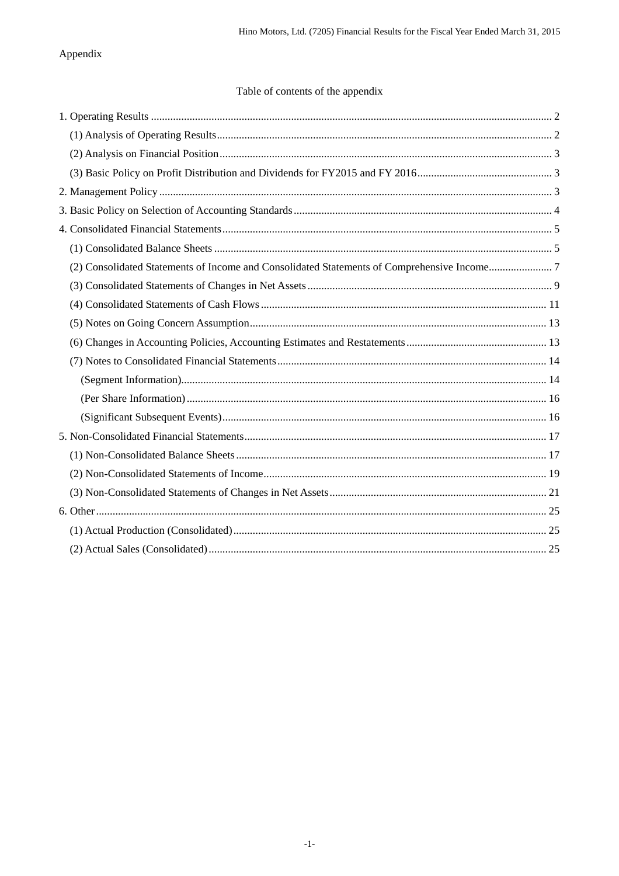## Appendix

## Table of contents of the appendix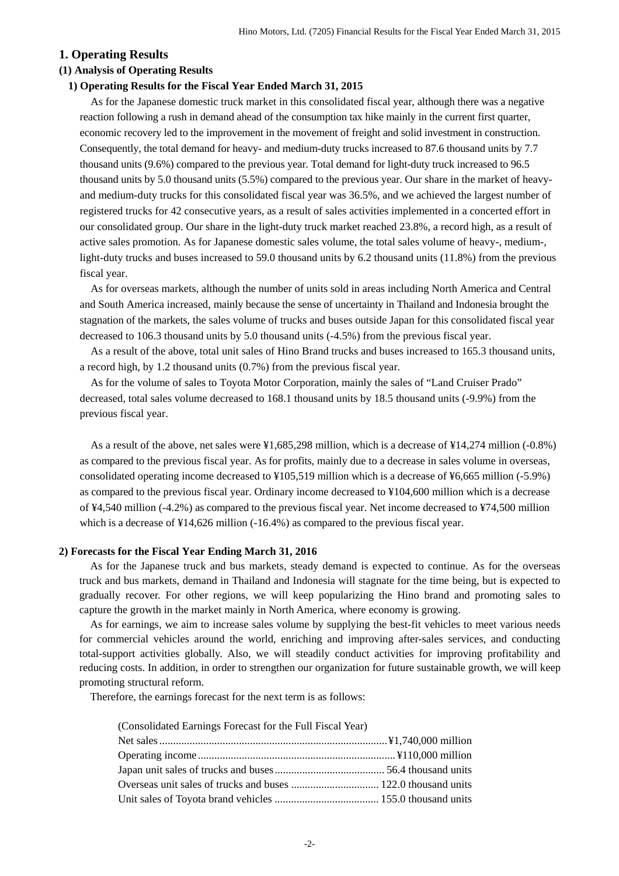#### <span id="page-3-0"></span>**1. Operating Results**

#### <span id="page-3-1"></span>**(1) Analysis of Operating Results**

#### **1) Operating Results for the Fiscal Year Ended March 31, 2015**

As for the Japanese domestic truck market in this consolidated fiscal year, although there was a negative reaction following a rush in demand ahead of the consumption tax hike mainly in the current first quarter, economic recovery led to the improvement in the movement of freight and solid investment in construction. Consequently, the total demand for heavy- and medium-duty trucks increased to 87.6 thousand units by 7.7 thousand units (9.6%) compared to the previous year. Total demand for light-duty truck increased to 96.5 thousand units by 5.0 thousand units (5.5%) compared to the previous year. Our share in the market of heavyand medium-duty trucks for this consolidated fiscal year was 36.5%, and we achieved the largest number of registered trucks for 42 consecutive years, as a result of sales activities implemented in a concerted effort in our consolidated group. Our share in the light-duty truck market reached 23.8%, a record high, as a result of active sales promotion. As for Japanese domestic sales volume, the total sales volume of heavy-, medium-, light-duty trucks and buses increased to 59.0 thousand units by 6.2 thousand units (11.8%) from the previous fiscal year.

As for overseas markets, although the number of units sold in areas including North America and Central and South America increased, mainly because the sense of uncertainty in Thailand and Indonesia brought the stagnation of the markets, the sales volume of trucks and buses outside Japan for this consolidated fiscal year decreased to 106.3 thousand units by 5.0 thousand units (-4.5%) from the previous fiscal year.

As a result of the above, total unit sales of Hino Brand trucks and buses increased to 165.3 thousand units, a record high, by 1.2 thousand units (0.7%) from the previous fiscal year.

As for the volume of sales to Toyota Motor Corporation, mainly the sales of "Land Cruiser Prado" decreased, total sales volume decreased to 168.1 thousand units by 18.5 thousand units (-9.9%) from the previous fiscal year.

As a result of the above, net sales were ¥1,685,298 million, which is a decrease of ¥14,274 million (-0.8%) as compared to the previous fiscal year. As for profits, mainly due to a decrease in sales volume in overseas, consolidated operating income decreased to ¥105,519 million which is a decrease of ¥6,665 million (-5.9%) as compared to the previous fiscal year. Ordinary income decreased to ¥104,600 million which is a decrease of ¥4,540 million (-4.2%) as compared to the previous fiscal year. Net income decreased to ¥74,500 million which is a decrease of  $\frac{1}{4}14.626$  million (-16.4%) as compared to the previous fiscal year.

#### **2) Forecasts for the Fiscal Year Ending March 31, 2016**

As for the Japanese truck and bus markets, steady demand is expected to continue. As for the overseas truck and bus markets, demand in Thailand and Indonesia will stagnate for the time being, but is expected to gradually recover. For other regions, we will keep popularizing the Hino brand and promoting sales to capture the growth in the market mainly in North America, where economy is growing.

As for earnings, we aim to increase sales volume by supplying the best-fit vehicles to meet various needs for commercial vehicles around the world, enriching and improving after-sales services, and conducting total-support activities globally. Also, we will steadily conduct activities for improving profitability and reducing costs. In addition, in order to strengthen our organization for future sustainable growth, we will keep promoting structural reform.

Therefore, the earnings forecast for the next term is as follows:

(Consolidated Earnings Forecast for the Full Fiscal Year)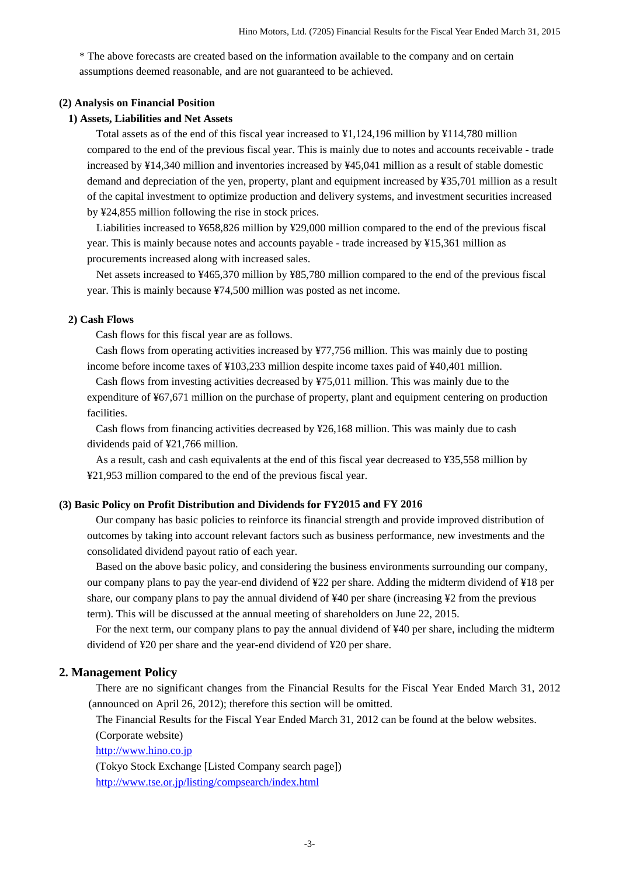\* The above forecasts are created based on the information available to the company and on certain assumptions deemed reasonable, and are not guaranteed to be achieved.

#### <span id="page-4-0"></span>**(2) Analysis on Financial Position**

#### **1) Assets, Liabilities and Net Assets**

Total assets as of the end of this fiscal year increased to ¥1,124,196 million by ¥114,780 million compared to the end of the previous fiscal year. This is mainly due to notes and accounts receivable - trade increased by ¥14,340 million and inventories increased by ¥45,041 million as a result of stable domestic demand and depreciation of the yen, property, plant and equipment increased by ¥35,701 million as a result of the capital investment to optimize production and delivery systems, and investment securities increased by ¥24,855 million following the rise in stock prices.

Liabilities increased to ¥658,826 million by ¥29,000 million compared to the end of the previous fiscal year. This is mainly because notes and accounts payable - trade increased by ¥15,361 million as procurements increased along with increased sales.

Net assets increased to ¥465,370 million by ¥85,780 million compared to the end of the previous fiscal year. This is mainly because ¥74,500 million was posted as net income.

#### **2) Cash Flows**

Cash flows for this fiscal year are as follows.

Cash flows from operating activities increased by ¥77,756 million. This was mainly due to posting income before income taxes of ¥103,233 million despite income taxes paid of ¥40,401 million.

Cash flows from investing activities decreased by ¥75,011 million. This was mainly due to the expenditure of ¥67,671 million on the purchase of property, plant and equipment centering on production facilities.

Cash flows from financing activities decreased by ¥26,168 million. This was mainly due to cash dividends paid of ¥21,766 million.

As a result, cash and cash equivalents at the end of this fiscal year decreased to ¥35,558 million by ¥21,953 million compared to the end of the previous fiscal year.

#### <span id="page-4-1"></span>**(3) Basic Policy on Profit Distribution and Dividends for FY2015 and FY 2016**

Our company has basic policies to reinforce its financial strength and provide improved distribution of outcomes by taking into account relevant factors such as business performance, new investments and the consolidated dividend payout ratio of each year.

Based on the above basic policy, and considering the business environments surrounding our company, our company plans to pay the year-end dividend of ¥22 per share. Adding the midterm dividend of ¥18 per share, our company plans to pay the annual dividend of ¥40 per share (increasing ¥2 from the previous term). This will be discussed at the annual meeting of shareholders on June 22, 2015.

For the next term, our company plans to pay the annual dividend of ¥40 per share, including the midterm dividend of ¥20 per share and the year-end dividend of ¥20 per share.

#### <span id="page-4-2"></span>**2. Management Policy**

There are no significant changes from the Financial Results for the Fiscal Year Ended March 31, 2012 (announced on April 26, 2012); therefore this section will be omitted.

The Financial Results for the Fiscal Year Ended March 31, 2012 can be found at the below websites. (Corporate website)

[http://www.hino.co.jp](http://www.hino.co.jp/)

(Tokyo Stock Exchange [Listed Company search page]) <http://www.tse.or.jp/listing/compsearch/index.html>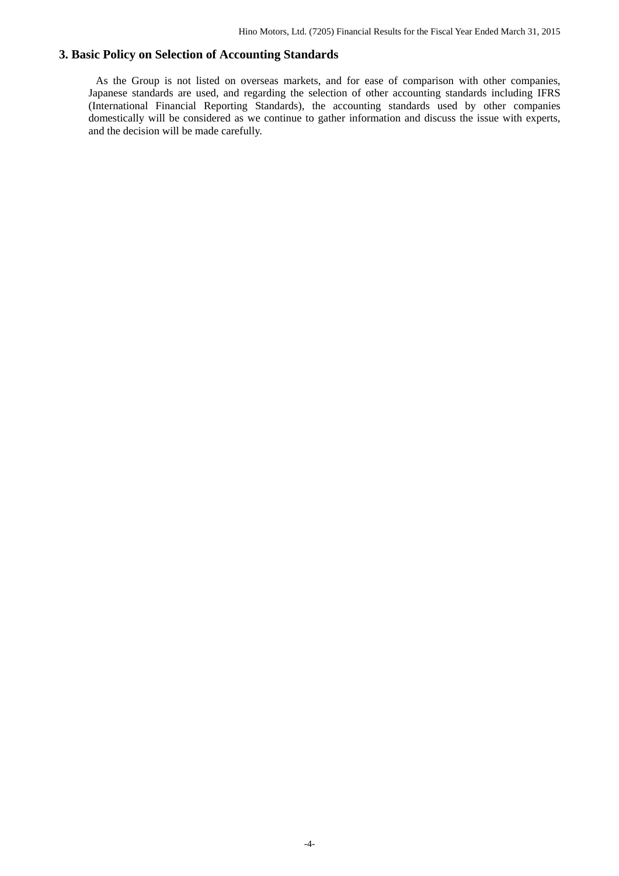## **3. Basic Policy on Selection of Accounting Standards**

<span id="page-5-0"></span>As the Group is not listed on overseas markets, and for ease of comparison with other companies, Japanese standards are used, and regarding the selection of other accounting standards including IFRS (International Financial Reporting Standards), the accounting standards used by other companies domestically will be considered as we continue to gather information and discuss the issue with experts, and the decision will be made carefully.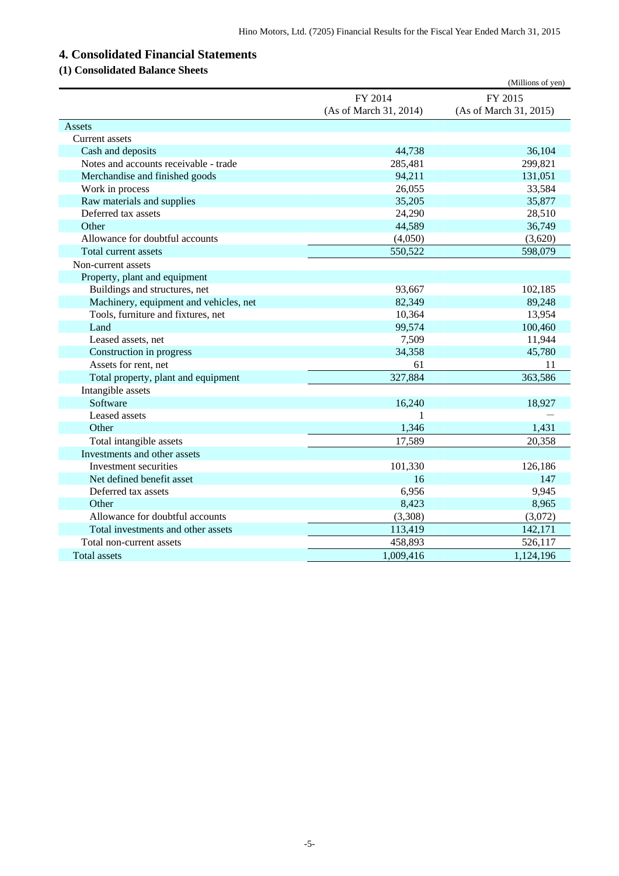# <span id="page-6-0"></span>**4. Consolidated Financial Statements**

## <span id="page-6-1"></span>**(1) Consolidated Balance Sheets**

|                                        |                        | (Millions of yen)      |
|----------------------------------------|------------------------|------------------------|
|                                        | FY 2014                | FY 2015                |
|                                        | (As of March 31, 2014) | (As of March 31, 2015) |
| Assets                                 |                        |                        |
| Current assets                         |                        |                        |
| Cash and deposits                      | 44,738                 | 36,104                 |
| Notes and accounts receivable - trade  | 285,481                | 299,821                |
| Merchandise and finished goods         | 94,211                 | 131,051                |
| Work in process                        | 26,055                 | 33,584                 |
| Raw materials and supplies             | 35,205                 | 35,877                 |
| Deferred tax assets                    | 24,290                 | 28,510                 |
| Other                                  | 44,589                 | 36,749                 |
| Allowance for doubtful accounts        | (4,050)                | (3,620)                |
| Total current assets                   | 550,522                | 598,079                |
| Non-current assets                     |                        |                        |
| Property, plant and equipment          |                        |                        |
| Buildings and structures, net          | 93,667                 | 102,185                |
| Machinery, equipment and vehicles, net | 82,349                 | 89,248                 |
| Tools, furniture and fixtures, net     | 10,364                 | 13,954                 |
| Land                                   | 99,574                 | 100,460                |
| Leased assets, net                     | 7,509                  | 11,944                 |
| Construction in progress               | 34,358                 | 45,780                 |
| Assets for rent, net                   | 61                     | 11                     |
| Total property, plant and equipment    | 327,884                | 363,586                |
| Intangible assets                      |                        |                        |
| Software                               | 16,240                 | 18,927                 |
| Leased assets                          | 1                      |                        |
| Other                                  | 1,346                  | 1,431                  |
| Total intangible assets                | 17,589                 | 20,358                 |
| Investments and other assets           |                        |                        |
| Investment securities                  | 101,330                | 126,186                |
| Net defined benefit asset              | 16                     | 147                    |
| Deferred tax assets                    | 6,956                  | 9,945                  |
| Other                                  | 8,423                  | 8,965                  |
| Allowance for doubtful accounts        | (3,308)                | (3,072)                |
| Total investments and other assets     | 113,419                | 142,171                |
| Total non-current assets               | 458,893                | 526,117                |
| <b>Total assets</b>                    | 1,009,416              | 1,124,196              |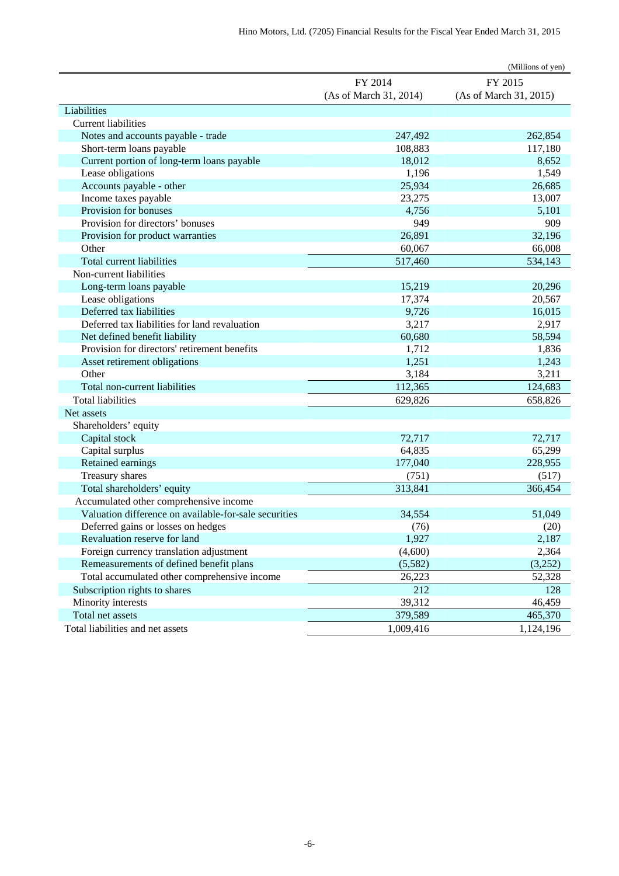|                                                       |                        | (Millions of yen)      |
|-------------------------------------------------------|------------------------|------------------------|
|                                                       | FY 2014                | FY 2015                |
|                                                       | (As of March 31, 2014) | (As of March 31, 2015) |
| Liabilities                                           |                        |                        |
| <b>Current liabilities</b>                            |                        |                        |
| Notes and accounts payable - trade                    | 247,492                | 262,854                |
| Short-term loans payable                              | 108,883                | 117,180                |
| Current portion of long-term loans payable            | 18,012                 | 8,652                  |
| Lease obligations                                     | 1,196                  | 1,549                  |
| Accounts payable - other                              | 25,934                 | 26,685                 |
| Income taxes payable                                  | 23,275                 | 13,007                 |
| Provision for bonuses                                 | 4,756                  | 5,101                  |
| Provision for directors' bonuses                      | 949                    | 909                    |
| Provision for product warranties                      | 26,891                 | 32,196                 |
| Other                                                 | 60,067                 | 66,008                 |
| Total current liabilities                             | 517,460                | 534,143                |
| Non-current liabilities                               |                        |                        |
| Long-term loans payable                               | 15,219                 | 20,296                 |
| Lease obligations                                     | 17,374                 | 20,567                 |
| Deferred tax liabilities                              | 9,726                  | 16,015                 |
| Deferred tax liabilities for land revaluation         | 3,217                  | 2,917                  |
| Net defined benefit liability                         | 60,680                 | 58,594                 |
| Provision for directors' retirement benefits          | 1,712                  | 1,836                  |
| Asset retirement obligations                          | 1,251                  | 1,243                  |
| Other                                                 | 3,184                  | 3,211                  |
| Total non-current liabilities                         | 112,365                | 124,683                |
| <b>Total liabilities</b>                              | 629,826                | 658,826                |
| Net assets                                            |                        |                        |
| Shareholders' equity                                  |                        |                        |
| Capital stock                                         | 72,717                 | 72,717                 |
| Capital surplus                                       | 64,835                 | 65,299                 |
| Retained earnings                                     | 177,040                | 228,955                |
| Treasury shares                                       | (751)                  | (517)                  |
| Total shareholders' equity                            | 313,841                | 366,454                |
| Accumulated other comprehensive income                |                        |                        |
| Valuation difference on available-for-sale securities | 34,554                 | 51,049                 |
| Deferred gains or losses on hedges                    | (76)                   | (20)                   |
| Revaluation reserve for land                          | 1,927                  | 2,187                  |
| Foreign currency translation adjustment               | (4,600)                | 2,364                  |
| Remeasurements of defined benefit plans               | (5,582)                | (3,252)                |
| Total accumulated other comprehensive income          | 26,223                 | 52,328                 |
| Subscription rights to shares                         | 212                    | 128                    |
| Minority interests                                    | 39,312                 | 46,459                 |
| Total net assets                                      | 379,589                | 465,370                |
| Total liabilities and net assets                      | 1,009,416              | 1,124,196              |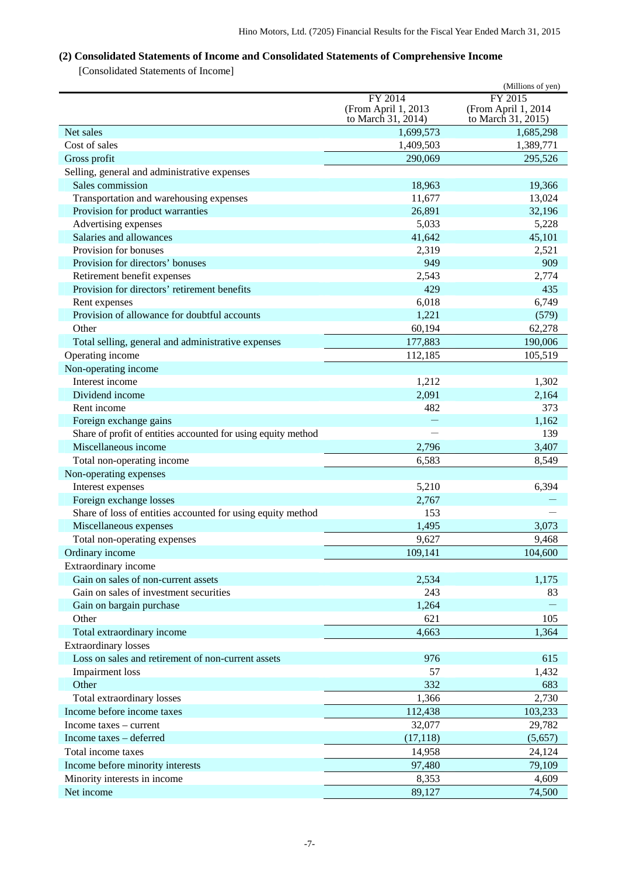## <span id="page-8-0"></span>**(2) Consolidated Statements of Income and Consolidated Statements of Comprehensive Income**

[Consolidated Statements of Income]

|                                                               |                     | (Millions of yen)   |
|---------------------------------------------------------------|---------------------|---------------------|
|                                                               | FY 2014             | FY 2015             |
|                                                               | (From April 1, 2013 | (From April 1, 2014 |
|                                                               | to March 31, 2014)  | to March 31, 2015)  |
| Net sales                                                     | 1,699,573           | 1,685,298           |
| Cost of sales                                                 | 1,409,503           | 1,389,771           |
| Gross profit                                                  | 290,069             | 295,526             |
| Selling, general and administrative expenses                  |                     |                     |
| Sales commission                                              | 18,963              | 19,366              |
| Transportation and warehousing expenses                       | 11,677              | 13,024              |
| Provision for product warranties                              | 26,891              | 32,196              |
| Advertising expenses                                          | 5,033               | 5,228               |
| Salaries and allowances                                       | 41,642              | 45,101              |
| Provision for bonuses                                         | 2,319               | 2,521               |
| Provision for directors' bonuses                              | 949                 | 909                 |
| Retirement benefit expenses                                   | 2,543               | 2,774               |
| Provision for directors' retirement benefits                  | 429                 | 435                 |
| Rent expenses                                                 | 6,018               | 6,749               |
| Provision of allowance for doubtful accounts                  | 1,221               | (579)               |
| Other                                                         | 60,194              | 62,278              |
| Total selling, general and administrative expenses            | 177,883             | 190,006             |
| Operating income                                              | 112,185             | 105,519             |
| Non-operating income                                          |                     |                     |
| Interest income                                               | 1,212               | 1,302               |
| Dividend income                                               | 2,091               | 2,164               |
| Rent income                                                   | 482                 | 373                 |
| Foreign exchange gains                                        |                     | 1,162               |
| Share of profit of entities accounted for using equity method |                     | 139                 |
| Miscellaneous income                                          | 2,796               | 3,407               |
| Total non-operating income                                    | 6,583               | 8,549               |
| Non-operating expenses                                        |                     |                     |
| Interest expenses                                             | 5,210               | 6,394               |
| Foreign exchange losses                                       | 2,767               |                     |
| Share of loss of entities accounted for using equity method   | 153                 |                     |
| Miscellaneous expenses                                        | 1,495               | 3,073               |
| Total non-operating expenses                                  | 9,627               | 9,468               |
| Ordinary income                                               | 109,141             | 104,600             |
| Extraordinary income                                          |                     |                     |
| Gain on sales of non-current assets                           | 2,534               | 1,175               |
| Gain on sales of investment securities                        | 243                 | 83                  |
| Gain on bargain purchase                                      | 1,264               |                     |
| Other                                                         | 621                 | 105                 |
| Total extraordinary income                                    | 4,663               | 1,364               |
| <b>Extraordinary losses</b>                                   |                     |                     |
| Loss on sales and retirement of non-current assets            | 976                 | 615                 |
| <b>Impairment</b> loss                                        | 57                  | 1,432               |
| Other                                                         | 332                 | 683                 |
| Total extraordinary losses                                    | 1,366               | 2,730               |
| Income before income taxes                                    | 112,438             | 103,233             |
| Income taxes – current                                        | 32,077              | 29,782              |
| Income taxes - deferred                                       | (17, 118)           | (5,657)             |
| Total income taxes                                            | 14,958              | 24,124              |
| Income before minority interests                              | 97,480              | 79,109              |
| Minority interests in income                                  | 8,353               | 4,609               |
| Net income                                                    | 89,127              | 74,500              |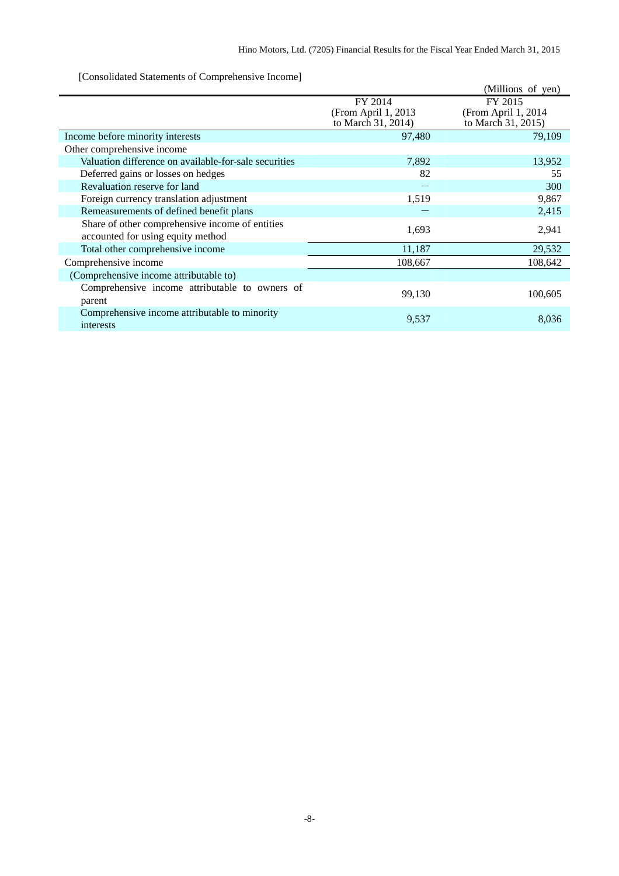[Consolidated Statements of Comprehensive Income]

|                                                                                      |                                                      | (Millions of yen)                                     |
|--------------------------------------------------------------------------------------|------------------------------------------------------|-------------------------------------------------------|
|                                                                                      | FY 2014<br>(From April 1, 2013<br>to March 31, 2014) | FY 2015<br>(From April 1, 2014)<br>to March 31, 2015) |
| Income before minority interests                                                     | 97,480                                               | 79,109                                                |
| Other comprehensive income                                                           |                                                      |                                                       |
| Valuation difference on available-for-sale securities                                | 7,892                                                | 13,952                                                |
| Deferred gains or losses on hedges                                                   | 82                                                   | 55                                                    |
| Revaluation reserve for land                                                         |                                                      | 300                                                   |
| Foreign currency translation adjustment                                              | 1,519                                                | 9,867                                                 |
| Remeasurements of defined benefit plans                                              |                                                      | 2,415                                                 |
| Share of other comprehensive income of entities<br>accounted for using equity method | 1,693                                                | 2,941                                                 |
| Total other comprehensive income                                                     | 11,187                                               | 29,532                                                |
| Comprehensive income                                                                 | 108,667                                              | 108,642                                               |
| (Comprehensive income attributable to)                                               |                                                      |                                                       |
| Comprehensive income attributable to owners of<br>parent                             | 99,130                                               | 100,605                                               |
| Comprehensive income attributable to minority<br>interests                           | 9,537                                                | 8,036                                                 |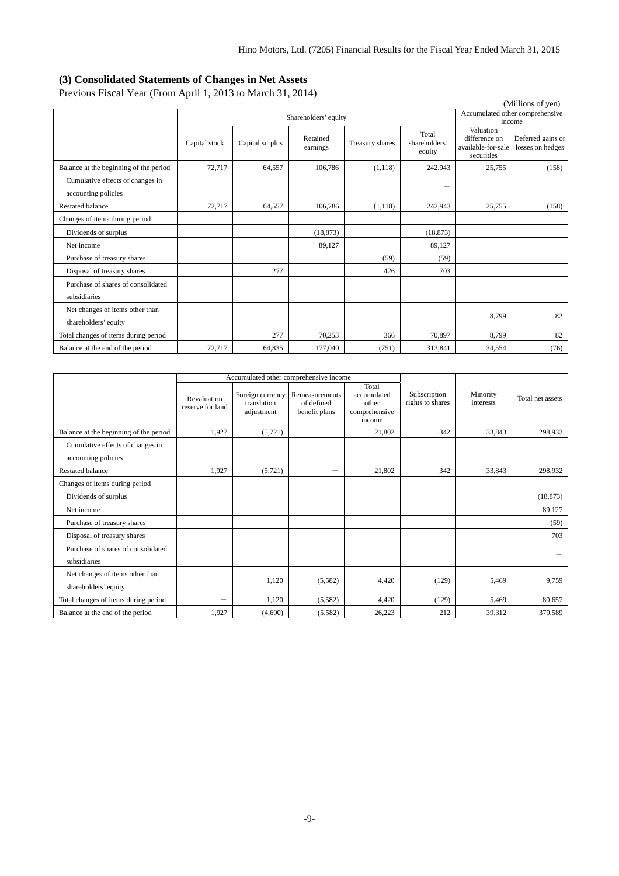## <span id="page-10-0"></span>**(3) Consolidated Statements of Changes in Net Assets**

Previous Fiscal Year (From April 1, 2013 to March 31, 2014)

| (Millions of yen)                                       |                          |                 |                      |                 |                                  |                                                                |                                       |  |
|---------------------------------------------------------|--------------------------|-----------------|----------------------|-----------------|----------------------------------|----------------------------------------------------------------|---------------------------------------|--|
|                                                         |                          |                 | Shareholders' equity |                 |                                  |                                                                | Accumulated other comprehensive       |  |
|                                                         |                          |                 |                      |                 |                                  |                                                                | income                                |  |
|                                                         | Capital stock            | Capital surplus | Retained<br>earnings | Treasury shares | Total<br>shareholders'<br>equity | Valuation<br>difference on<br>available-for-sale<br>securities | Deferred gains or<br>losses on hedges |  |
| Balance at the beginning of the period                  | 72,717                   | 64,557          | 106,786              | (1,118)         | 242,943                          | 25,755                                                         | (158)                                 |  |
| Cumulative effects of changes in<br>accounting policies |                          |                 |                      |                 | $\overline{\phantom{m}}$         |                                                                |                                       |  |
| <b>Restated balance</b>                                 | 72,717                   | 64,557          | 106,786              | (1,118)         | 242,943                          | 25,755                                                         | (158)                                 |  |
| Changes of items during period                          |                          |                 |                      |                 |                                  |                                                                |                                       |  |
| Dividends of surplus                                    |                          |                 | (18, 873)            |                 | (18, 873)                        |                                                                |                                       |  |
| Net income                                              |                          |                 | 89.127               |                 | 89.127                           |                                                                |                                       |  |
| Purchase of treasury shares                             |                          |                 |                      | (59)            | (59)                             |                                                                |                                       |  |
| Disposal of treasury shares                             |                          | 277             |                      | 426             | 703                              |                                                                |                                       |  |
| Purchase of shares of consolidated<br>subsidiaries      |                          |                 |                      |                 |                                  |                                                                |                                       |  |
| Net changes of items other than<br>shareholders' equity |                          |                 |                      |                 |                                  | 8,799                                                          | 82                                    |  |
| Total changes of items during period                    | $\overline{\phantom{0}}$ | 277             | 70,253               | 366             | 70,897                           | 8,799                                                          | 82                                    |  |
| Balance at the end of the period                        | 72,717                   | 64.835          | 177,040              | (751)           | 313,841                          | 34,554                                                         | (76)                                  |  |

|                                                         | Accumulated other comprehensive income |                                               |                                               |                                                          |                                  |                       |                  |
|---------------------------------------------------------|----------------------------------------|-----------------------------------------------|-----------------------------------------------|----------------------------------------------------------|----------------------------------|-----------------------|------------------|
|                                                         | Revaluation<br>reserve for land        | Foreign currency<br>translation<br>adjustment | Remeasurements<br>of defined<br>benefit plans | Total<br>accumulated<br>other<br>comprehensive<br>income | Subscription<br>rights to shares | Minority<br>interests | Total net assets |
| Balance at the beginning of the period                  | 1,927                                  | (5, 721)                                      | —                                             | 21,802                                                   | 342                              | 33.843                | 298,932          |
| Cumulative effects of changes in<br>accounting policies |                                        |                                               |                                               |                                                          |                                  |                       |                  |
| <b>Restated balance</b>                                 | 1,927                                  | (5,721)                                       | —                                             | 21,802                                                   | 342                              | 33,843                | 298,932          |
| Changes of items during period                          |                                        |                                               |                                               |                                                          |                                  |                       |                  |
| Dividends of surplus                                    |                                        |                                               |                                               |                                                          |                                  |                       | (18, 873)        |
| Net income                                              |                                        |                                               |                                               |                                                          |                                  |                       | 89,127           |
| Purchase of treasury shares                             |                                        |                                               |                                               |                                                          |                                  |                       | (59)             |
| Disposal of treasury shares                             |                                        |                                               |                                               |                                                          |                                  |                       | 703              |
| Purchase of shares of consolidated<br>subsidiaries      |                                        |                                               |                                               |                                                          |                                  |                       |                  |
| Net changes of items other than<br>shareholders' equity | $\overline{\phantom{0}}$               | 1,120                                         | (5,582)                                       | 4,420                                                    | (129)                            | 5,469                 | 9,759            |
| Total changes of items during period                    | $\overline{\phantom{0}}$               | 1,120                                         | (5,582)                                       | 4,420                                                    | (129)                            | 5,469                 | 80,657           |
| Balance at the end of the period                        | 1,927                                  | (4,600)                                       | (5,582)                                       | 26,223                                                   | 212                              | 39,312                | 379,589          |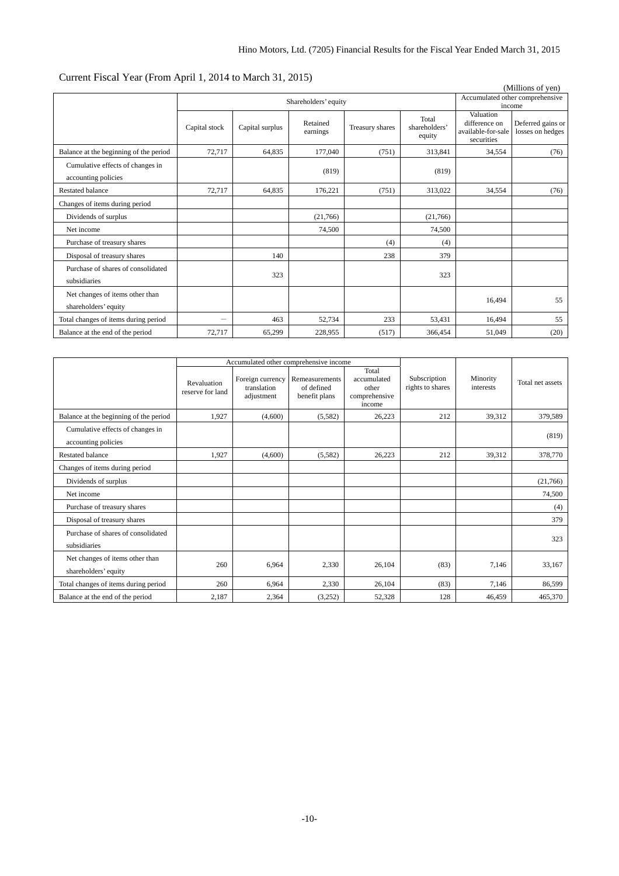| (Millions of yen)                                       |               |                      |                      |                 |                                  |                                                   |                                       |
|---------------------------------------------------------|---------------|----------------------|----------------------|-----------------|----------------------------------|---------------------------------------------------|---------------------------------------|
|                                                         |               | Shareholders' equity |                      |                 |                                  |                                                   | Accumulated other comprehensive       |
|                                                         |               |                      |                      |                 |                                  | Valuation                                         | income                                |
|                                                         | Capital stock | Capital surplus      | Retained<br>earnings | Treasury shares | Total<br>shareholders'<br>equity | difference on<br>available-for-sale<br>securities | Deferred gains or<br>losses on hedges |
| Balance at the beginning of the period                  | 72,717        | 64,835               | 177,040              | (751)           | 313,841                          | 34,554                                            | (76)                                  |
| Cumulative effects of changes in<br>accounting policies |               |                      | (819)                |                 | (819)                            |                                                   |                                       |
| <b>Restated balance</b>                                 | 72.717        | 64.835               | 176,221              | (751)           | 313,022                          | 34.554                                            | (76)                                  |
| Changes of items during period                          |               |                      |                      |                 |                                  |                                                   |                                       |
| Dividends of surplus                                    |               |                      | (21,766)             |                 | (21,766)                         |                                                   |                                       |
| Net income                                              |               |                      | 74,500               |                 | 74,500                           |                                                   |                                       |
| Purchase of treasury shares                             |               |                      |                      | (4)             | (4)                              |                                                   |                                       |
| Disposal of treasury shares                             |               | 140                  |                      | 238             | 379                              |                                                   |                                       |
| Purchase of shares of consolidated<br>subsidiaries      |               | 323                  |                      |                 | 323                              |                                                   |                                       |
| Net changes of items other than<br>shareholders' equity |               |                      |                      |                 |                                  | 16,494                                            | 55                                    |
| Total changes of items during period                    |               | 463                  | 52,734               | 233             | 53.431                           | 16.494                                            | 55                                    |
| Balance at the end of the period                        | 72,717        | 65,299               | 228,955              | (517)           | 366,454                          | 51,049                                            | (20)                                  |

## Current Fiscal Year (From April 1, 2014 to March 31, 2015)

|                                                         |                                 | Accumulated other comprehensive income        |                                               |                                                          |                                  |                       |                  |
|---------------------------------------------------------|---------------------------------|-----------------------------------------------|-----------------------------------------------|----------------------------------------------------------|----------------------------------|-----------------------|------------------|
|                                                         | Revaluation<br>reserve for land | Foreign currency<br>translation<br>adjustment | Remeasurements<br>of defined<br>benefit plans | Total<br>accumulated<br>other<br>comprehensive<br>income | Subscription<br>rights to shares | Minority<br>interests | Total net assets |
| Balance at the beginning of the period                  | 1.927                           | (4,600)                                       | (5,582)                                       | 26,223                                                   | 212                              | 39.312                | 379,589          |
| Cumulative effects of changes in<br>accounting policies |                                 |                                               |                                               |                                                          |                                  |                       | (819)            |
| Restated balance                                        | 1,927                           | (4,600)                                       | (5,582)                                       | 26,223                                                   | 212                              | 39.312                | 378,770          |
| Changes of items during period                          |                                 |                                               |                                               |                                                          |                                  |                       |                  |
| Dividends of surplus                                    |                                 |                                               |                                               |                                                          |                                  |                       | (21,766)         |
| Net income                                              |                                 |                                               |                                               |                                                          |                                  |                       | 74,500           |
| Purchase of treasury shares                             |                                 |                                               |                                               |                                                          |                                  |                       | (4)              |
| Disposal of treasury shares                             |                                 |                                               |                                               |                                                          |                                  |                       | 379              |
| Purchase of shares of consolidated<br>subsidiaries      |                                 |                                               |                                               |                                                          |                                  |                       | 323              |
| Net changes of items other than<br>shareholders' equity | 260                             | 6,964                                         | 2,330                                         | 26,104                                                   | (83)                             | 7,146                 | 33,167           |
| Total changes of items during period                    | 260                             | 6.964                                         | 2,330                                         | 26.104                                                   | (83)                             | 7.146                 | 86,599           |
| Balance at the end of the period                        | 2,187                           | 2,364                                         | (3,252)                                       | 52,328                                                   | 128                              | 46,459                | 465,370          |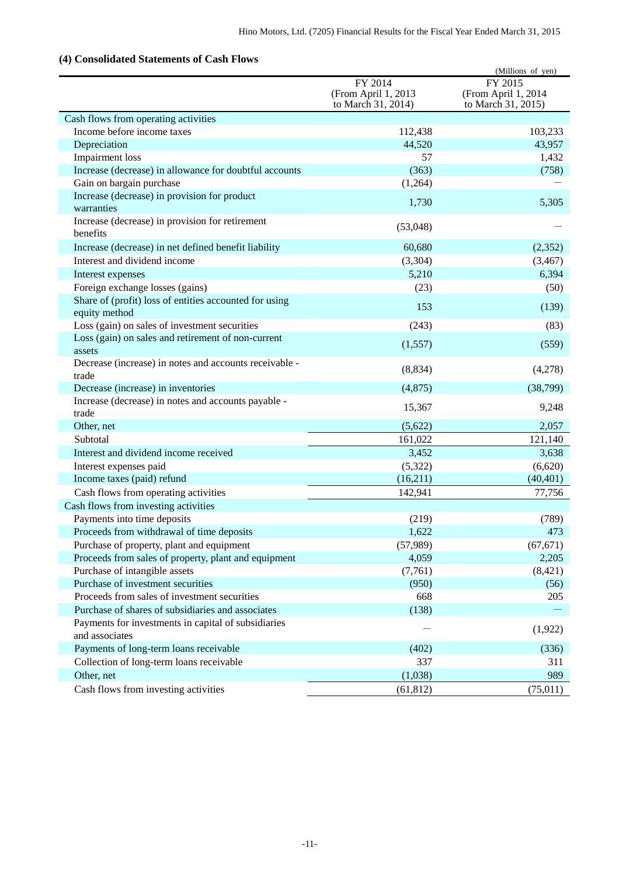## <span id="page-12-0"></span>**(4) Consolidated Statements of Cash Flows**

| сонвонаакса ваакснісная ог                                              |                                                      | (Millions of yen)                                    |
|-------------------------------------------------------------------------|------------------------------------------------------|------------------------------------------------------|
|                                                                         | FY 2014<br>(From April 1, 2013<br>to March 31, 2014) | FY 2015<br>(From April 1, 2014<br>to March 31, 2015) |
| Cash flows from operating activities                                    |                                                      |                                                      |
| Income before income taxes                                              | 112,438                                              | 103,233                                              |
| Depreciation                                                            | 44,520                                               | 43,957                                               |
| Impairment loss                                                         | 57                                                   | 1,432                                                |
| Increase (decrease) in allowance for doubtful accounts                  | (363)                                                | (758)                                                |
| Gain on bargain purchase                                                | (1,264)                                              |                                                      |
| Increase (decrease) in provision for product<br>warranties              | 1,730                                                | 5,305                                                |
| Increase (decrease) in provision for retirement<br>benefits             | (53,048)                                             |                                                      |
| Increase (decrease) in net defined benefit liability                    | 60,680                                               | (2,352)                                              |
| Interest and dividend income                                            | (3,304)                                              | (3, 467)                                             |
| Interest expenses                                                       | 5,210                                                | 6,394                                                |
| Foreign exchange losses (gains)                                         | (23)                                                 | (50)                                                 |
| Share of (profit) loss of entities accounted for using<br>equity method | 153                                                  | (139)                                                |
| Loss (gain) on sales of investment securities                           | (243)                                                | (83)                                                 |
| Loss (gain) on sales and retirement of non-current<br>assets            | (1,557)                                              | (559)                                                |
| Decrease (increase) in notes and accounts receivable -<br>trade         | (8, 834)                                             | (4,278)                                              |
| Decrease (increase) in inventories                                      | (4,875)                                              | (38,799)                                             |
| Increase (decrease) in notes and accounts payable -                     |                                                      |                                                      |
| trade                                                                   | 15,367                                               | 9,248                                                |
| Other, net                                                              | (5,622)                                              | 2,057                                                |
| Subtotal                                                                | 161,022                                              | 121,140                                              |
| Interest and dividend income received                                   | 3,452                                                | 3,638                                                |
| Interest expenses paid                                                  | (5,322)                                              | (6,620)                                              |
| Income taxes (paid) refund                                              | (16,211)                                             | (40, 401)                                            |
| Cash flows from operating activities                                    | 142,941                                              | 77,756                                               |
| Cash flows from investing activities                                    |                                                      |                                                      |
| Payments into time deposits                                             | (219)                                                | (789)                                                |
| Proceeds from withdrawal of time deposits                               | 1,622                                                | 473                                                  |
| Purchase of property, plant and equipment                               | (57,989)                                             | (67, 671)                                            |
| Proceeds from sales of property, plant and equipment                    | 4,059                                                | 2,205                                                |
| Purchase of intangible assets                                           | (7,761)                                              | (8, 421)                                             |
| Purchase of investment securities                                       | (950)                                                | (56)                                                 |
| Proceeds from sales of investment securities                            | 668                                                  | 205                                                  |
| Purchase of shares of subsidiaries and associates                       | (138)                                                |                                                      |
| Payments for investments in capital of subsidiaries<br>and associates   |                                                      | (1,922)                                              |
| Payments of long-term loans receivable                                  | (402)                                                | (336)                                                |
| Collection of long-term loans receivable                                | 337                                                  | 311                                                  |
| Other, net                                                              | (1,038)                                              | 989                                                  |
| Cash flows from investing activities                                    | (61, 812)                                            | (75, 011)                                            |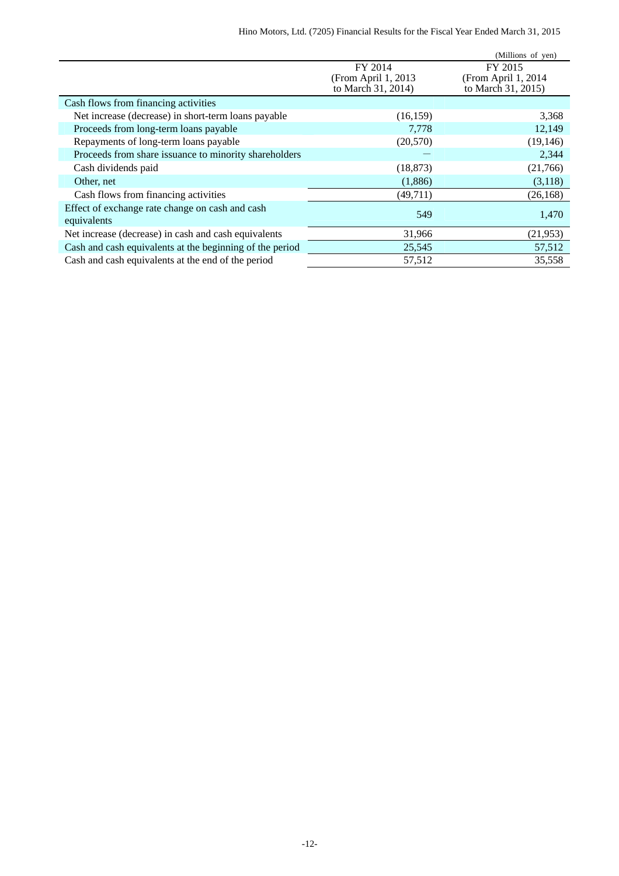|                                                          |                      | (Millions of yen)   |
|----------------------------------------------------------|----------------------|---------------------|
|                                                          | FY 2014              | FY 2015             |
|                                                          | (From April 1, 2013) | (From April 1, 2014 |
|                                                          | to March 31, 2014)   | to March 31, 2015)  |
| Cash flows from financing activities                     |                      |                     |
| Net increase (decrease) in short-term loans payable      | (16, 159)            | 3,368               |
| Proceeds from long-term loans payable                    | 7,778                | 12,149              |
| Repayments of long-term loans payable                    | (20,570)             | (19, 146)           |
| Proceeds from share issuance to minority shareholders    |                      | 2,344               |
| Cash dividends paid                                      | (18, 873)            | (21,766)            |
| Other, net                                               | (1,886)              | (3,118)             |
| Cash flows from financing activities                     | (49, 711)            | (26, 168)           |
| Effect of exchange rate change on cash and cash          | 549                  | 1,470               |
| equivalents                                              |                      |                     |
| Net increase (decrease) in cash and cash equivalents     | 31,966               | (21, 953)           |
| Cash and cash equivalents at the beginning of the period | 25,545               | 57,512              |
| Cash and cash equivalents at the end of the period       | 57,512               | 35,558              |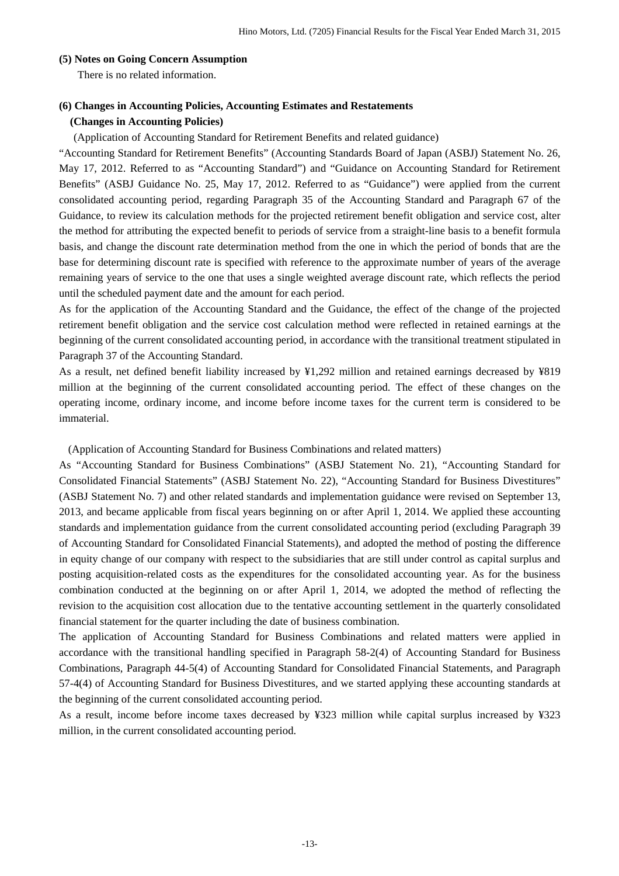## <span id="page-14-0"></span>**(5) Notes on Going Concern Assumption**

There is no related information.

## <span id="page-14-1"></span>**(6) Changes in Accounting Policies, Accounting Estimates and Restatements**

#### **(Changes in Accounting Policies)**

(Application of Accounting Standard for Retirement Benefits and related guidance)

"Accounting Standard for Retirement Benefits" (Accounting Standards Board of Japan (ASBJ) Statement No. 26, May 17, 2012. Referred to as "Accounting Standard") and "Guidance on Accounting Standard for Retirement Benefits" (ASBJ Guidance No. 25, May 17, 2012. Referred to as "Guidance") were applied from the current consolidated accounting period, regarding Paragraph 35 of the Accounting Standard and Paragraph 67 of the Guidance, to review its calculation methods for the projected retirement benefit obligation and service cost, alter the method for attributing the expected benefit to periods of service from a straight-line basis to a benefit formula basis, and change the discount rate determination method from the one in which the period of bonds that are the base for determining discount rate is specified with reference to the approximate number of years of the average remaining years of service to the one that uses a single weighted average discount rate, which reflects the period until the scheduled payment date and the amount for each period.

As for the application of the Accounting Standard and the Guidance, the effect of the change of the projected retirement benefit obligation and the service cost calculation method were reflected in retained earnings at the beginning of the current consolidated accounting period, in accordance with the transitional treatment stipulated in Paragraph 37 of the Accounting Standard.

As a result, net defined benefit liability increased by ¥1,292 million and retained earnings decreased by ¥819 million at the beginning of the current consolidated accounting period. The effect of these changes on the operating income, ordinary income, and income before income taxes for the current term is considered to be immaterial.

(Application of Accounting Standard for Business Combinations and related matters)

As "Accounting Standard for Business Combinations" (ASBJ Statement No. 21), "Accounting Standard for Consolidated Financial Statements" (ASBJ Statement No. 22), "Accounting Standard for Business Divestitures" (ASBJ Statement No. 7) and other related standards and implementation guidance were revised on September 13, 2013, and became applicable from fiscal years beginning on or after April 1, 2014. We applied these accounting standards and implementation guidance from the current consolidated accounting period (excluding Paragraph 39 of Accounting Standard for Consolidated Financial Statements), and adopted the method of posting the difference in equity change of our company with respect to the subsidiaries that are still under control as capital surplus and posting acquisition-related costs as the expenditures for the consolidated accounting year. As for the business combination conducted at the beginning on or after April 1, 2014, we adopted the method of reflecting the revision to the acquisition cost allocation due to the tentative accounting settlement in the quarterly consolidated financial statement for the quarter including the date of business combination.

The application of Accounting Standard for Business Combinations and related matters were applied in accordance with the transitional handling specified in Paragraph 58-2(4) of Accounting Standard for Business Combinations, Paragraph 44-5(4) of Accounting Standard for Consolidated Financial Statements, and Paragraph 57-4(4) of Accounting Standard for Business Divestitures, and we started applying these accounting standards at the beginning of the current consolidated accounting period.

As a result, income before income taxes decreased by ¥323 million while capital surplus increased by ¥323 million, in the current consolidated accounting period.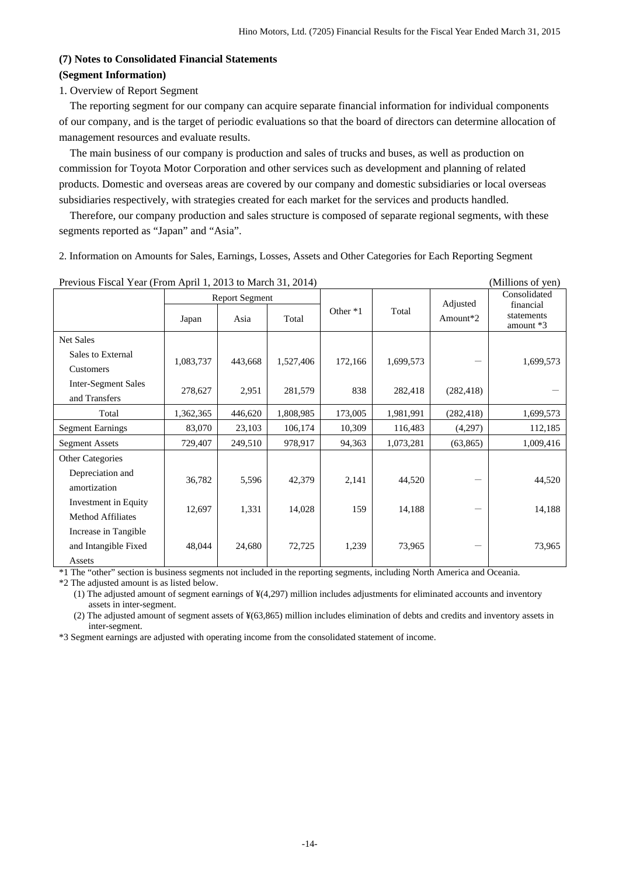## <span id="page-15-1"></span><span id="page-15-0"></span>**(7) Notes to Consolidated Financial Statements (Segment Information)**

#### 1. Overview of Report Segment

The reporting segment for our company can acquire separate financial information for individual components of our company, and is the target of periodic evaluations so that the board of directors can determine allocation of management resources and evaluate results.

The main business of our company is production and sales of trucks and buses, as well as production on commission for Toyota Motor Corporation and other services such as development and planning of related products. Domestic and overseas areas are covered by our company and domestic subsidiaries or local overseas subsidiaries respectively, with strategies created for each market for the services and products handled.

Therefore, our company production and sales structure is composed of separate regional segments, with these segments reported as "Japan" and "Asia".

2. Information on Amounts for Sales, Earnings, Losses, Assets and Other Categories for Each Reporting Segment

| Trevious Tisear Tear (Troll April 1, 2015 to March 91, 2014) |           |                       |           |            |           |            | $(1$ viniuons of $y$ cii)<br>Consolidated |
|--------------------------------------------------------------|-----------|-----------------------|-----------|------------|-----------|------------|-------------------------------------------|
|                                                              |           | <b>Report Segment</b> |           |            |           | Adjusted   | financial                                 |
|                                                              | Japan     | Asia                  | Total     | Other $*1$ | Total     | Amount*2   | statements                                |
|                                                              |           |                       |           |            |           |            | amount *3                                 |
| <b>Net Sales</b>                                             |           |                       |           |            |           |            |                                           |
| Sales to External                                            | 1,083,737 | 443,668               | 1,527,406 | 172,166    | 1,699,573 |            | 1,699,573                                 |
| Customers                                                    |           |                       |           |            |           |            |                                           |
| <b>Inter-Segment Sales</b>                                   |           |                       |           |            |           |            |                                           |
| and Transfers                                                | 278,627   | 2,951                 | 281,579   | 838        | 282,418   | (282, 418) |                                           |
| Total                                                        | 1,362,365 | 446,620               | 1,808,985 | 173,005    | 1,981,991 | (282, 418) | 1,699,573                                 |
| <b>Segment Earnings</b>                                      | 83,070    | 23,103                | 106,174   | 10,309     | 116,483   | (4,297)    | 112,185                                   |
| <b>Segment Assets</b>                                        | 729,407   | 249,510               | 978,917   | 94,363     | 1,073,281 | (63, 865)  | 1,009,416                                 |
| Other Categories                                             |           |                       |           |            |           |            |                                           |
| Depreciation and                                             |           |                       |           |            |           |            |                                           |
| amortization                                                 | 36,782    | 5,596                 | 42,379    | 2,141      | 44,520    |            | 44,520                                    |
| Investment in Equity                                         |           |                       |           |            |           |            |                                           |
| Method Affiliates                                            | 12,697    | 1,331                 | 14,028    | 159        | 14,188    |            | 14,188                                    |
| Increase in Tangible                                         |           |                       |           |            |           |            |                                           |
| and Intangible Fixed                                         | 48,044    | 24,680                | 72,725    | 1,239      | 73,965    |            | 73,965                                    |
| Assets                                                       |           |                       |           |            |           |            |                                           |

Previous Fiscal Year (From April 1, 2013 to March 31, 2014) (Millions of yen)

\*1 The "other" section is business segments not included in the reporting segments, including North America and Oceania.

\*2 The adjusted amount is as listed below.

(1) The adjusted amount of segment earnings of ¥(4,297) million includes adjustments for eliminated accounts and inventory assets in inter-segment.

(2) The adjusted amount of segment assets of ¥(63,865) million includes elimination of debts and credits and inventory assets in inter-segment.

\*3 Segment earnings are adjusted with operating income from the consolidated statement of income.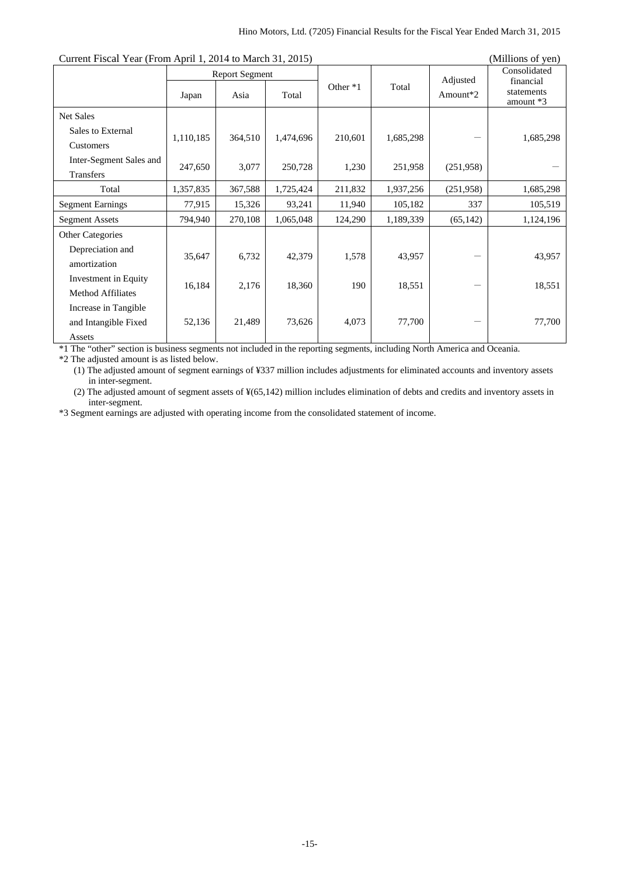| Current Fiscal Year (From April 1, 2014 to March 31, 2015) |           |                               |           |          |           |                                  | (Millions of yen)                                    |
|------------------------------------------------------------|-----------|-------------------------------|-----------|----------|-----------|----------------------------------|------------------------------------------------------|
|                                                            | Japan     | <b>Report Segment</b><br>Asia | Total     | Other *1 | Total     | Adjusted<br>Amount <sup>*2</sup> | Consolidated<br>financial<br>statements<br>amount *3 |
| <b>Net Sales</b>                                           |           |                               |           |          |           |                                  |                                                      |
| Sales to External<br>Customers                             | 1,110,185 | 364,510                       | 1,474,696 | 210,601  | 1,685,298 |                                  | 1,685,298                                            |
| Inter-Segment Sales and<br>Transfers                       | 247,650   | 3,077                         | 250,728   | 1,230    | 251,958   | (251,958)                        |                                                      |
| Total                                                      | 1,357,835 | 367,588                       | 1,725,424 | 211,832  | 1,937,256 | (251,958)                        | 1,685,298                                            |
| <b>Segment Earnings</b>                                    | 77,915    | 15,326                        | 93,241    | 11,940   | 105,182   | 337                              | 105,519                                              |
| <b>Segment Assets</b>                                      | 794,940   | 270,108                       | 1,065,048 | 124,290  | 1,189,339 | (65, 142)                        | 1,124,196                                            |
| <b>Other Categories</b>                                    |           |                               |           |          |           |                                  |                                                      |
| Depreciation and<br>amortization                           | 35,647    | 6,732                         | 42,379    | 1,578    | 43,957    |                                  | 43,957                                               |
| Investment in Equity<br><b>Method Affiliates</b>           | 16,184    | 2,176                         | 18,360    | 190      | 18,551    |                                  | 18,551                                               |
| Increase in Tangible<br>and Intangible Fixed<br>Assets     | 52,136    | 21,489                        | 73,626    | 4,073    | 77,700    |                                  | 77,700                                               |

\*1 The "other" section is business segments not included in the reporting segments, including North America and Oceania.

\*2 The adjusted amount is as listed below.

(1) The adjusted amount of segment earnings of ¥337 million includes adjustments for eliminated accounts and inventory assets in inter-segment.

(2) The adjusted amount of segment assets of ¥(65,142) million includes elimination of debts and credits and inventory assets in inter-segment.

\*3 Segment earnings are adjusted with operating income from the consolidated statement of income.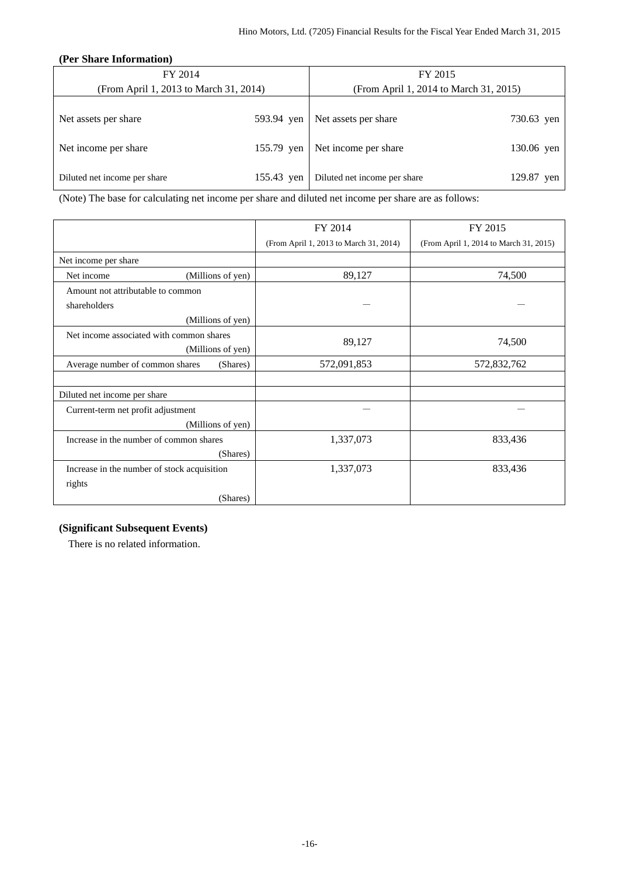#### **(Per Share Information)**

<span id="page-17-0"></span>

| FY 2014                                |            | FY 2015                                |            |  |  |
|----------------------------------------|------------|----------------------------------------|------------|--|--|
| (From April 1, 2013 to March 31, 2014) |            | (From April 1, 2014 to March 31, 2015) |            |  |  |
| Net assets per share                   | 593.94 yen | Net assets per share                   | 730.63 yen |  |  |
| Net income per share                   | 155.79 yen | Net income per share                   | 130.06 yen |  |  |
| Diluted net income per share           | 155.43 yen | Diluted net income per share           | 129.87 yen |  |  |

(Note) The base for calculating net income per share and diluted net income per share are as follows:

|                                                               | FY 2014                                | FY 2015                                |
|---------------------------------------------------------------|----------------------------------------|----------------------------------------|
|                                                               | (From April 1, 2013 to March 31, 2014) | (From April 1, 2014 to March 31, 2015) |
| Net income per share                                          |                                        |                                        |
| (Millions of yen)<br>Net income                               | 89,127                                 | 74,500                                 |
| Amount not attributable to common                             |                                        |                                        |
| shareholders                                                  |                                        |                                        |
| (Millions of yen)                                             |                                        |                                        |
| Net income associated with common shares<br>(Millions of yen) | 89,127                                 | 74,500                                 |
| Average number of common shares<br>(Shares)                   | 572,091,853                            | 572,832,762                            |
|                                                               |                                        |                                        |
| Diluted net income per share                                  |                                        |                                        |
| Current-term net profit adjustment                            |                                        |                                        |
| (Millions of yen)                                             |                                        |                                        |
| Increase in the number of common shares                       | 1,337,073                              | 833,436                                |
| (Shares)                                                      |                                        |                                        |
| Increase in the number of stock acquisition                   | 1,337,073                              | 833,436                                |
| rights                                                        |                                        |                                        |
| (Shares)                                                      |                                        |                                        |

## <span id="page-17-1"></span>**(Significant Subsequent Events)**

There is no related information.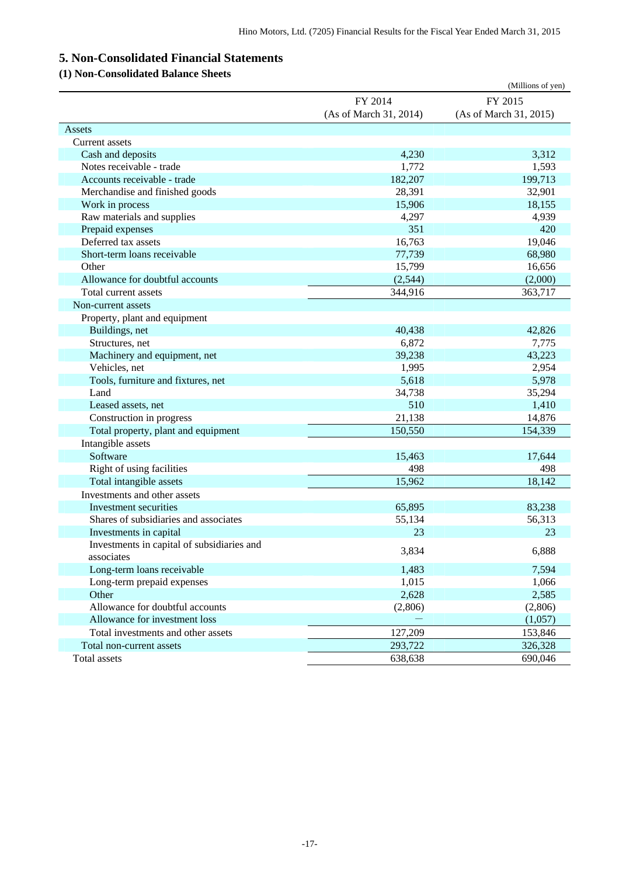# <span id="page-18-0"></span>**5. Non-Consolidated Financial Statements**

## <span id="page-18-1"></span>**(1) Non-Consolidated Balance Sheets**

|                                            |                        | (Millions of yen)      |
|--------------------------------------------|------------------------|------------------------|
|                                            | FY 2014                | FY 2015                |
|                                            | (As of March 31, 2014) | (As of March 31, 2015) |
| Assets                                     |                        |                        |
| <b>Current</b> assets                      |                        |                        |
| Cash and deposits                          | 4,230                  | 3,312                  |
| Notes receivable - trade                   | 1,772                  | 1,593                  |
| Accounts receivable - trade                | 182,207                | 199,713                |
| Merchandise and finished goods             | 28,391                 | 32,901                 |
| Work in process                            | 15,906                 | 18,155                 |
| Raw materials and supplies                 | 4,297                  | 4,939                  |
| Prepaid expenses                           | 351                    | 420                    |
| Deferred tax assets                        | 16,763                 | 19,046                 |
| Short-term loans receivable                | 77,739                 | 68,980                 |
| Other                                      | 15,799                 | 16,656                 |
| Allowance for doubtful accounts            | (2, 544)               | (2,000)                |
| Total current assets                       | 344,916                | 363,717                |
| Non-current assets                         |                        |                        |
| Property, plant and equipment              |                        |                        |
| Buildings, net                             | 40,438                 | 42,826                 |
| Structures, net                            | 6,872                  | 7,775                  |
| Machinery and equipment, net               | 39,238                 | 43,223                 |
| Vehicles, net                              | 1,995                  | 2,954                  |
| Tools, furniture and fixtures, net         | 5,618                  | 5,978                  |
| Land                                       | 34,738                 | 35,294                 |
| Leased assets, net                         | 510                    | 1,410                  |
| Construction in progress                   | 21,138                 | 14,876                 |
| Total property, plant and equipment        | 150,550                | 154,339                |
| Intangible assets                          |                        |                        |
| Software                                   | 15,463                 | 17,644                 |
| Right of using facilities                  | 498                    | 498                    |
| Total intangible assets                    | 15,962                 | 18,142                 |
| Investments and other assets               |                        |                        |
| Investment securities                      | 65,895                 | 83,238                 |
| Shares of subsidiaries and associates      | 55,134                 | 56,313                 |
| Investments in capital                     | 23                     | 23                     |
| Investments in capital of subsidiaries and |                        |                        |
| associates                                 | 3,834                  | 6,888                  |
| Long-term loans receivable                 | 1,483                  | 7,594                  |
| Long-term prepaid expenses                 | 1,015                  | 1,066                  |
| Other                                      | 2,628                  | 2,585                  |
| Allowance for doubtful accounts            | (2,806)                | (2,806)                |
| Allowance for investment loss              |                        | (1,057)                |
| Total investments and other assets         | 127,209                | 153,846                |
| Total non-current assets                   | 293,722                | 326,328                |
| Total assets                               | 638,638                | 690,046                |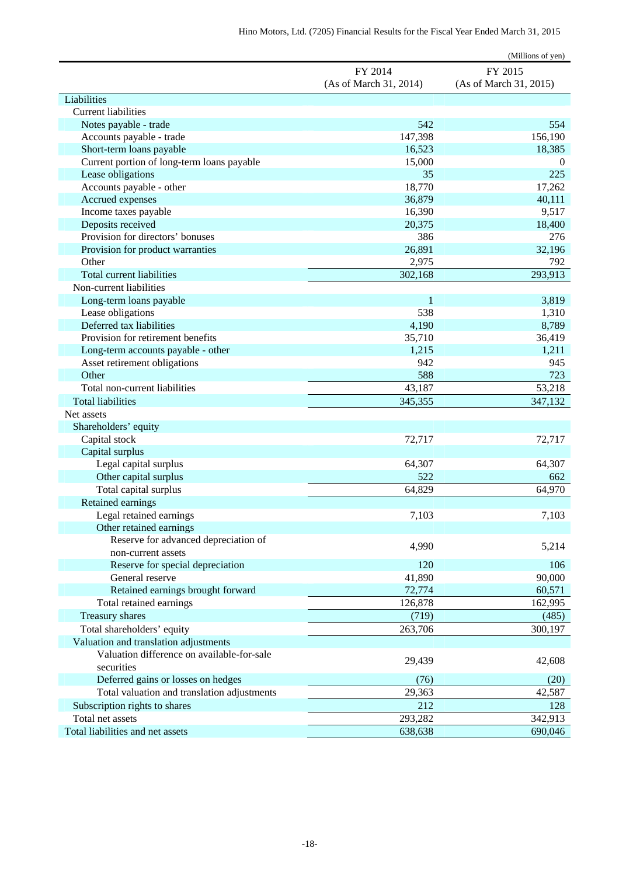|                                                                                     |                        | (Millions of yen)      |
|-------------------------------------------------------------------------------------|------------------------|------------------------|
|                                                                                     | FY 2014                | FY 2015                |
|                                                                                     | (As of March 31, 2014) | (As of March 31, 2015) |
| Liabilities                                                                         |                        |                        |
| <b>Current liabilities</b>                                                          |                        |                        |
| Notes payable - trade                                                               | 542                    | 554                    |
| Accounts payable - trade                                                            | 147,398                | 156,190                |
| Short-term loans payable                                                            | 16,523                 | 18,385                 |
| Current portion of long-term loans payable                                          | 15,000                 | $\boldsymbol{0}$       |
| Lease obligations                                                                   | 35                     | 225                    |
| Accounts payable - other                                                            | 18,770                 | 17,262                 |
| Accrued expenses                                                                    | 36,879                 | 40,111                 |
| Income taxes payable                                                                | 16,390                 | 9,517                  |
| Deposits received                                                                   | 20,375                 | 18,400                 |
| Provision for directors' bonuses                                                    | 386                    | 276                    |
| Provision for product warranties                                                    | 26,891                 | 32,196                 |
| Other                                                                               | 2,975                  | 792                    |
| Total current liabilities                                                           | 302,168                | 293,913                |
| Non-current liabilities                                                             |                        |                        |
| Long-term loans payable                                                             | 1                      | 3,819                  |
| Lease obligations                                                                   | 538                    | 1,310                  |
| Deferred tax liabilities                                                            | 4,190                  | 8,789                  |
| Provision for retirement benefits                                                   | 35,710                 | 36,419                 |
| Long-term accounts payable - other                                                  | 1,215                  | 1,211                  |
| Asset retirement obligations                                                        | 942                    | 945                    |
| Other                                                                               | 588                    | 723                    |
| Total non-current liabilities                                                       | 43,187                 | 53,218                 |
| <b>Total liabilities</b>                                                            | 345,355                | 347,132                |
| Net assets                                                                          |                        |                        |
| Shareholders' equity                                                                |                        |                        |
| Capital stock                                                                       | 72,717                 | 72,717                 |
| Capital surplus                                                                     |                        |                        |
| Legal capital surplus                                                               | 64,307                 | 64,307                 |
| Other capital surplus                                                               | 522                    | 662                    |
| Total capital surplus                                                               | 64,829                 | 64,970                 |
| Retained earnings                                                                   |                        |                        |
| Legal retained earnings                                                             | 7,103                  | 7,103                  |
| Other retained earnings                                                             |                        |                        |
| Reserve for advanced depreciation of<br>non-current assets                          | 4,990                  | 5,214                  |
| Reserve for special depreciation                                                    | 120                    | 106                    |
| General reserve                                                                     | 41,890                 | 90,000                 |
| Retained earnings brought forward                                                   | 72,774                 | 60,571                 |
| Total retained earnings                                                             | 126,878                | 162,995                |
| Treasury shares                                                                     | (719)                  | (485)                  |
|                                                                                     |                        | 300,197                |
| Total shareholders' equity                                                          | 263,706                |                        |
| Valuation and translation adjustments<br>Valuation difference on available-for-sale |                        |                        |
| securities                                                                          | 29,439                 | 42,608                 |
| Deferred gains or losses on hedges                                                  | (76)                   | (20)                   |
| Total valuation and translation adjustments                                         | 29,363                 | 42,587                 |
| Subscription rights to shares                                                       | 212                    |                        |
| Total net assets                                                                    | 293,282                | 128<br>342,913         |
| Total liabilities and net assets                                                    | 638,638                | 690,046                |
|                                                                                     |                        |                        |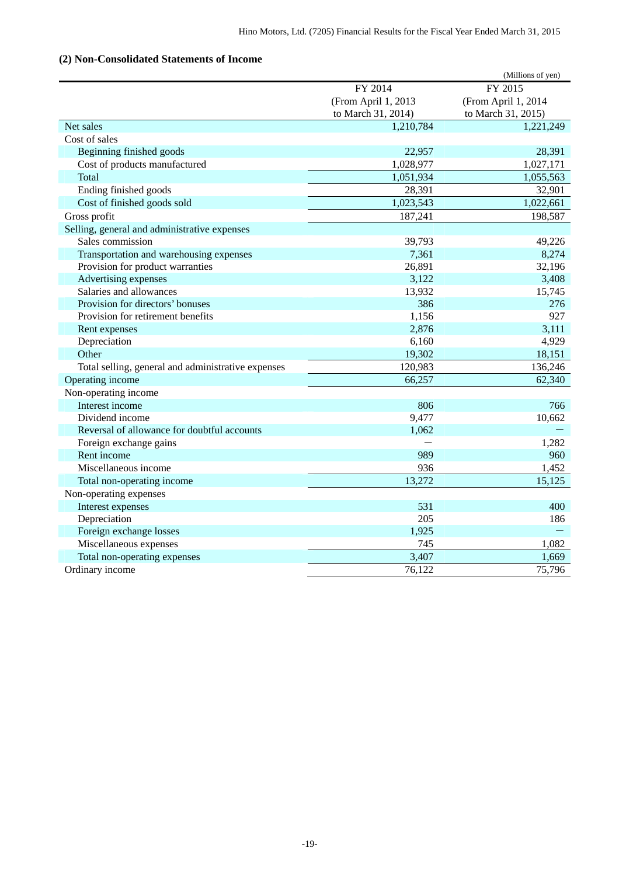## <span id="page-20-0"></span>**(2) Non-Consolidated Statements of Income**

|                                                    |                     | (Millions of yen)   |
|----------------------------------------------------|---------------------|---------------------|
|                                                    | FY 2014             | FY 2015             |
|                                                    | (From April 1, 2013 | (From April 1, 2014 |
|                                                    | to March 31, 2014)  | to March 31, 2015)  |
| Net sales                                          | 1,210,784           | 1,221,249           |
| Cost of sales                                      |                     |                     |
| Beginning finished goods                           | 22,957              | 28,391              |
| Cost of products manufactured                      | 1,028,977           | 1,027,171           |
| Total                                              | 1,051,934           | 1,055,563           |
| Ending finished goods                              | 28,391              | 32,901              |
| Cost of finished goods sold                        | 1,023,543           | 1,022,661           |
| Gross profit                                       | 187,241             | 198,587             |
| Selling, general and administrative expenses       |                     |                     |
| Sales commission                                   | 39,793              | 49,226              |
| Transportation and warehousing expenses            | 7,361               | 8,274               |
| Provision for product warranties                   | 26,891              | 32,196              |
| Advertising expenses                               | 3,122               | 3,408               |
| Salaries and allowances                            | 13,932              | 15,745              |
| Provision for directors' bonuses                   | 386                 | 276                 |
| Provision for retirement benefits                  | 1,156               | 927                 |
| Rent expenses                                      | 2,876               | 3,111               |
| Depreciation                                       | 6,160               | 4,929               |
| Other                                              | 19,302              | 18,151              |
| Total selling, general and administrative expenses | 120,983             | 136,246             |
| Operating income                                   | 66,257              | 62,340              |
| Non-operating income                               |                     |                     |
| Interest income                                    | 806                 | 766                 |
| Dividend income                                    | 9,477               | 10,662              |
| Reversal of allowance for doubtful accounts        | 1,062               |                     |
| Foreign exchange gains                             |                     | 1,282               |
| Rent income                                        | 989                 | 960                 |
| Miscellaneous income                               | 936                 | 1,452               |
| Total non-operating income                         | 13,272              | 15,125              |
| Non-operating expenses                             |                     |                     |
| Interest expenses                                  | 531                 | 400                 |
| Depreciation                                       | 205                 | 186                 |
| Foreign exchange losses                            | 1,925               |                     |
| Miscellaneous expenses                             | 745                 | 1,082               |
| Total non-operating expenses                       | 3,407               | 1,669               |
| Ordinary income                                    | 76,122              | 75,796              |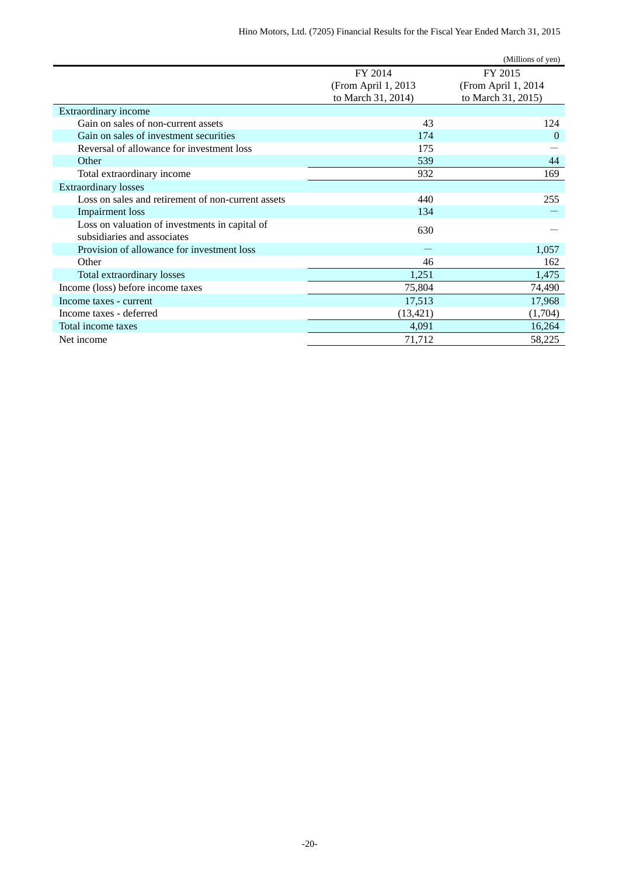|                                                    |                     | (Millions of yen)   |
|----------------------------------------------------|---------------------|---------------------|
|                                                    | FY 2014             | FY 2015             |
|                                                    | (From April 1, 2013 | (From April 1, 2014 |
|                                                    | to March 31, 2014)  | to March 31, 2015)  |
| Extraordinary income                               |                     |                     |
| Gain on sales of non-current assets                | 43                  | 124                 |
| Gain on sales of investment securities             | 174                 | $\Omega$            |
| Reversal of allowance for investment loss          | 175                 |                     |
| Other                                              | 539                 | 44                  |
| Total extraordinary income                         | 932                 | 169                 |
| <b>Extraordinary losses</b>                        |                     |                     |
| Loss on sales and retirement of non-current assets | 440                 | 255                 |
| <b>Impairment</b> loss                             | 134                 |                     |
| Loss on valuation of investments in capital of     | 630                 |                     |
| subsidiaries and associates                        |                     |                     |
| Provision of allowance for investment loss         |                     | 1,057               |
| Other                                              | 46                  | 162                 |
| Total extraordinary losses                         | 1,251               | 1,475               |
| Income (loss) before income taxes                  | 75,804              | 74,490              |
| Income taxes - current                             | 17,513              | 17,968              |
| Income taxes - deferred                            | (13, 421)           | (1,704)             |
| Total income taxes                                 | 4,091               | 16,264              |
| Net income                                         | 71,712              | 58,225              |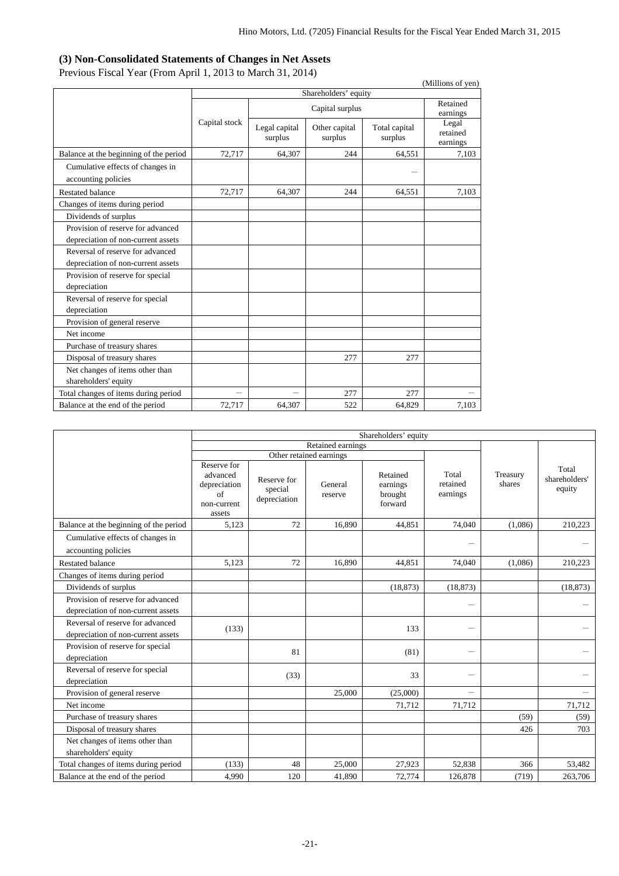### **(3) Non-Consolidated Statements of Changes in Net Assets**

Previous Fiscal Year (From April 1, 2013 to March 31, 2014)

<span id="page-22-0"></span>

| $F1$ evious Fiscal Teal (Fiolii April 1, 2015 to March 51, 2014)        |               |                          |                          |                          | (Millions of yen)             |
|-------------------------------------------------------------------------|---------------|--------------------------|--------------------------|--------------------------|-------------------------------|
|                                                                         |               |                          | Shareholders' equity     |                          |                               |
|                                                                         |               | Capital surplus          |                          |                          | Retained<br>earnings          |
|                                                                         | Capital stock | Legal capital<br>surplus | Other capital<br>surplus | Total capital<br>surplus | Legal<br>retained<br>earnings |
| Balance at the beginning of the period                                  | 72,717        | 64,307                   | 244                      | 64,551                   | 7,103                         |
| Cumulative effects of changes in<br>accounting policies                 |               |                          |                          |                          |                               |
| <b>Restated balance</b>                                                 | 72,717        | 64,307                   | 244                      | 64,551                   | 7,103                         |
| Changes of items during period                                          |               |                          |                          |                          |                               |
| Dividends of surplus                                                    |               |                          |                          |                          |                               |
| Provision of reserve for advanced<br>depreciation of non-current assets |               |                          |                          |                          |                               |
| Reversal of reserve for advanced<br>depreciation of non-current assets  |               |                          |                          |                          |                               |
| Provision of reserve for special<br>depreciation                        |               |                          |                          |                          |                               |
| Reversal of reserve for special<br>depreciation                         |               |                          |                          |                          |                               |
| Provision of general reserve                                            |               |                          |                          |                          |                               |
| Net income                                                              |               |                          |                          |                          |                               |
| Purchase of treasury shares                                             |               |                          |                          |                          |                               |
| Disposal of treasury shares                                             |               |                          | 277                      | 277                      |                               |
| Net changes of items other than<br>shareholders' equity                 |               |                          |                          |                          |                               |
| Total changes of items during period                                    |               |                          | 277                      | 277                      |                               |
| Balance at the end of the period                                        | 72,717        | 64,307                   | 522                      | 64,829                   | 7,103                         |

|                                                         | Shareholders' equity                                                   |                                        |                         |                                            |                               |                    |                                  |
|---------------------------------------------------------|------------------------------------------------------------------------|----------------------------------------|-------------------------|--------------------------------------------|-------------------------------|--------------------|----------------------------------|
|                                                         | Retained earnings                                                      |                                        |                         |                                            |                               |                    |                                  |
|                                                         |                                                                        |                                        | Other retained earnings |                                            |                               |                    |                                  |
|                                                         | Reserve for<br>advanced<br>depreciation<br>of<br>non-current<br>assets | Reserve for<br>special<br>depreciation | General<br>reserve      | Retained<br>earnings<br>brought<br>forward | Total<br>retained<br>earnings | Treasury<br>shares | Total<br>shareholders'<br>equity |
| Balance at the beginning of the period                  | 5,123                                                                  | 72                                     | 16.890                  | 44,851                                     | 74,040                        | (1,086)            | 210,223                          |
| Cumulative effects of changes in<br>accounting policies |                                                                        |                                        |                         |                                            | -                             |                    |                                  |
| <b>Restated balance</b>                                 | 5.123                                                                  | 72                                     | 16.890                  | 44.851                                     | 74,040                        | (1.086)            | 210,223                          |
| Changes of items during period                          |                                                                        |                                        |                         |                                            |                               |                    |                                  |
| Dividends of surplus                                    |                                                                        |                                        |                         | (18, 873)                                  | (18, 873)                     |                    | (18, 873)                        |
| Provision of reserve for advanced                       |                                                                        |                                        |                         |                                            |                               |                    |                                  |
| depreciation of non-current assets                      |                                                                        |                                        |                         |                                            |                               |                    |                                  |
| Reversal of reserve for advanced                        | (133)                                                                  |                                        |                         | 133                                        | ÷.                            |                    |                                  |
| depreciation of non-current assets                      |                                                                        |                                        |                         |                                            |                               |                    |                                  |
| Provision of reserve for special<br>depreciation        |                                                                        | 81                                     |                         | (81)                                       | $\overline{\phantom{0}}$      |                    |                                  |
| Reversal of reserve for special                         |                                                                        | (33)                                   |                         | 33                                         |                               |                    |                                  |
| depreciation                                            |                                                                        |                                        |                         |                                            |                               |                    |                                  |
| Provision of general reserve                            |                                                                        |                                        | 25,000                  | (25,000)                                   | $\overline{\phantom{0}}$      |                    | $\overline{\phantom{0}}$         |
| Net income                                              |                                                                        |                                        |                         | 71,712                                     | 71,712                        |                    | 71,712                           |
| Purchase of treasury shares                             |                                                                        |                                        |                         |                                            |                               | (59)               | (59)                             |
| Disposal of treasury shares                             |                                                                        |                                        |                         |                                            |                               | 426                | 703                              |
| Net changes of items other than<br>shareholders' equity |                                                                        |                                        |                         |                                            |                               |                    |                                  |
| Total changes of items during period                    | (133)                                                                  | 48                                     | 25,000                  | 27,923                                     | 52,838                        | 366                | 53,482                           |
| Balance at the end of the period                        | 4,990                                                                  | 120                                    | 41,890                  | 72,774                                     | 126,878                       | (719)              | 263,706                          |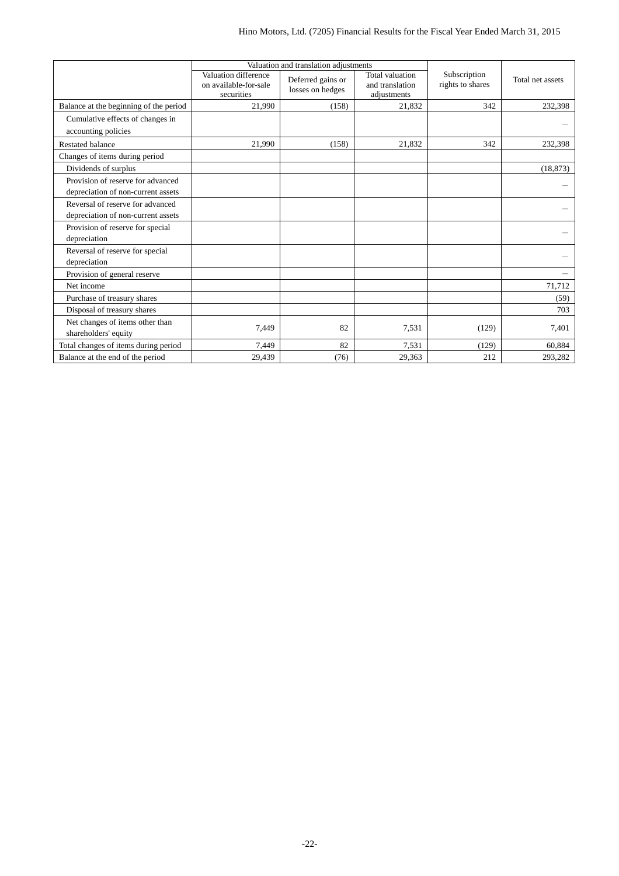|                                        |                                                             | Valuation and translation adjustments |                                                   |                                  |                  |
|----------------------------------------|-------------------------------------------------------------|---------------------------------------|---------------------------------------------------|----------------------------------|------------------|
|                                        | Valuation difference<br>on available-for-sale<br>securities | Deferred gains or<br>losses on hedges | Total valuation<br>and translation<br>adjustments | Subscription<br>rights to shares | Total net assets |
| Balance at the beginning of the period | 21,990                                                      | (158)                                 | 21,832                                            | 342                              | 232,398          |
| Cumulative effects of changes in       |                                                             |                                       |                                                   |                                  |                  |
| accounting policies                    |                                                             |                                       |                                                   |                                  |                  |
| <b>Restated balance</b>                | 21,990                                                      | (158)                                 | 21,832                                            | 342                              | 232,398          |
| Changes of items during period         |                                                             |                                       |                                                   |                                  |                  |
| Dividends of surplus                   |                                                             |                                       |                                                   |                                  | (18, 873)        |
| Provision of reserve for advanced      |                                                             |                                       |                                                   |                                  |                  |
| depreciation of non-current assets     |                                                             |                                       |                                                   |                                  |                  |
| Reversal of reserve for advanced       |                                                             |                                       |                                                   |                                  |                  |
| depreciation of non-current assets     |                                                             |                                       |                                                   |                                  |                  |
| Provision of reserve for special       |                                                             |                                       |                                                   |                                  |                  |
| depreciation                           |                                                             |                                       |                                                   |                                  |                  |
| Reversal of reserve for special        |                                                             |                                       |                                                   |                                  |                  |
| depreciation                           |                                                             |                                       |                                                   |                                  |                  |
| Provision of general reserve           |                                                             |                                       |                                                   |                                  |                  |
| Net income                             |                                                             |                                       |                                                   |                                  | 71,712           |
| Purchase of treasury shares            |                                                             |                                       |                                                   |                                  | (59)             |
| Disposal of treasury shares            |                                                             |                                       |                                                   |                                  | 703              |
| Net changes of items other than        | 7,449                                                       | 82                                    | 7,531                                             | (129)                            | 7,401            |
| shareholders' equity                   |                                                             |                                       |                                                   |                                  |                  |
| Total changes of items during period   | 7,449                                                       | 82                                    | 7,531                                             | (129)                            | 60,884           |
| Balance at the end of the period       | 29,439                                                      | (76)                                  | 29,363                                            | 212                              | 293,282          |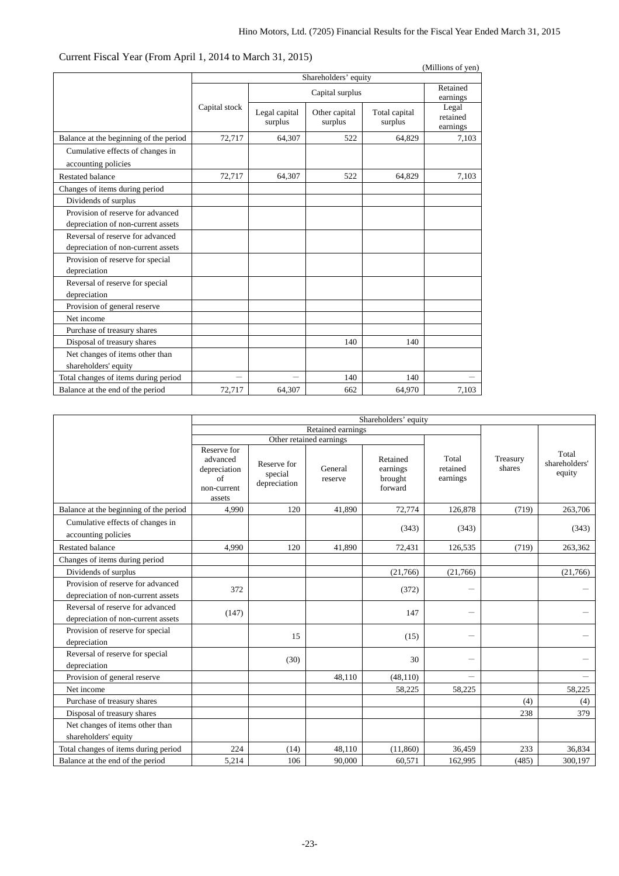| Curicin Fiscar Tear (From April 1, 2014 to March 91, 2019)              |               |                          |                          |                          | (Millions of yen)             |
|-------------------------------------------------------------------------|---------------|--------------------------|--------------------------|--------------------------|-------------------------------|
|                                                                         |               |                          | Shareholders' equity     |                          |                               |
|                                                                         |               |                          | Capital surplus          |                          | Retained<br>earnings          |
|                                                                         | Capital stock | Legal capital<br>surplus | Other capital<br>surplus | Total capital<br>surplus | Legal<br>retained<br>earnings |
| Balance at the beginning of the period                                  | 72,717        | 64,307                   | 522                      | 64,829                   | 7,103                         |
| Cumulative effects of changes in<br>accounting policies                 |               |                          |                          |                          |                               |
| <b>Restated balance</b>                                                 | 72,717        | 64,307                   | 522                      | 64,829                   | 7,103                         |
| Changes of items during period                                          |               |                          |                          |                          |                               |
| Dividends of surplus                                                    |               |                          |                          |                          |                               |
| Provision of reserve for advanced<br>depreciation of non-current assets |               |                          |                          |                          |                               |
| Reversal of reserve for advanced<br>depreciation of non-current assets  |               |                          |                          |                          |                               |
| Provision of reserve for special<br>depreciation                        |               |                          |                          |                          |                               |
| Reversal of reserve for special<br>depreciation                         |               |                          |                          |                          |                               |
| Provision of general reserve                                            |               |                          |                          |                          |                               |
| Net income                                                              |               |                          |                          |                          |                               |
| Purchase of treasury shares                                             |               |                          |                          |                          |                               |
| Disposal of treasury shares                                             |               |                          | 140                      | 140                      |                               |
| Net changes of items other than<br>shareholders' equity                 |               |                          |                          |                          |                               |
| Total changes of items during period                                    |               |                          | 140                      | 140                      |                               |
| Balance at the end of the period                                        | 72,717        | 64,307                   | 662                      | 64,970                   | 7,103                         |

## Current Fiscal Year (From April 1, 2014 to March 31, 2015)

|                                                                         | Shareholders' equity                                                   |                                        |                         |                                            |                               |                    |                                  |
|-------------------------------------------------------------------------|------------------------------------------------------------------------|----------------------------------------|-------------------------|--------------------------------------------|-------------------------------|--------------------|----------------------------------|
|                                                                         | Retained earnings                                                      |                                        |                         |                                            |                               |                    |                                  |
|                                                                         |                                                                        |                                        | Other retained earnings |                                            |                               |                    |                                  |
|                                                                         | Reserve for<br>advanced<br>depreciation<br>of<br>non-current<br>assets | Reserve for<br>special<br>depreciation | General<br>reserve      | Retained<br>earnings<br>brought<br>forward | Total<br>retained<br>earnings | Treasury<br>shares | Total<br>shareholders'<br>equity |
| Balance at the beginning of the period                                  | 4,990                                                                  | 120                                    | 41.890                  | 72,774                                     | 126.878                       | (719)              | 263,706                          |
| Cumulative effects of changes in<br>accounting policies                 |                                                                        |                                        |                         | (343)                                      | (343)                         |                    | (343)                            |
| <b>Restated balance</b>                                                 | 4.990                                                                  | 120                                    | 41.890                  | 72,431                                     | 126,535                       | (719)              | 263,362                          |
| Changes of items during period                                          |                                                                        |                                        |                         |                                            |                               |                    |                                  |
| Dividends of surplus                                                    |                                                                        |                                        |                         | (21,766)                                   | (21,766)                      |                    | (21,766)                         |
| Provision of reserve for advanced<br>depreciation of non-current assets | 372                                                                    |                                        |                         | (372)                                      | -                             |                    |                                  |
| Reversal of reserve for advanced<br>depreciation of non-current assets  | (147)                                                                  |                                        |                         | 147                                        | $\overline{\phantom{0}}$      |                    |                                  |
| Provision of reserve for special<br>depreciation                        |                                                                        | 15                                     |                         | (15)                                       | -                             |                    |                                  |
| Reversal of reserve for special<br>depreciation                         |                                                                        | (30)                                   |                         | 30                                         | $\overline{\phantom{0}}$      |                    |                                  |
| Provision of general reserve                                            |                                                                        |                                        | 48,110                  | (48, 110)                                  |                               |                    |                                  |
| Net income                                                              |                                                                        |                                        |                         | 58,225                                     | 58,225                        |                    | 58,225                           |
| Purchase of treasury shares                                             |                                                                        |                                        |                         |                                            |                               | (4)                | (4)                              |
| Disposal of treasury shares                                             |                                                                        |                                        |                         |                                            |                               | 238                | 379                              |
| Net changes of items other than<br>shareholders' equity                 |                                                                        |                                        |                         |                                            |                               |                    |                                  |
| Total changes of items during period                                    | 224                                                                    | (14)                                   | 48,110                  | (11,860)                                   | 36,459                        | 233                | 36,834                           |
| Balance at the end of the period                                        | 5.214                                                                  | 106                                    | 90,000                  | 60.571                                     | 162,995                       | (485)              | 300.197                          |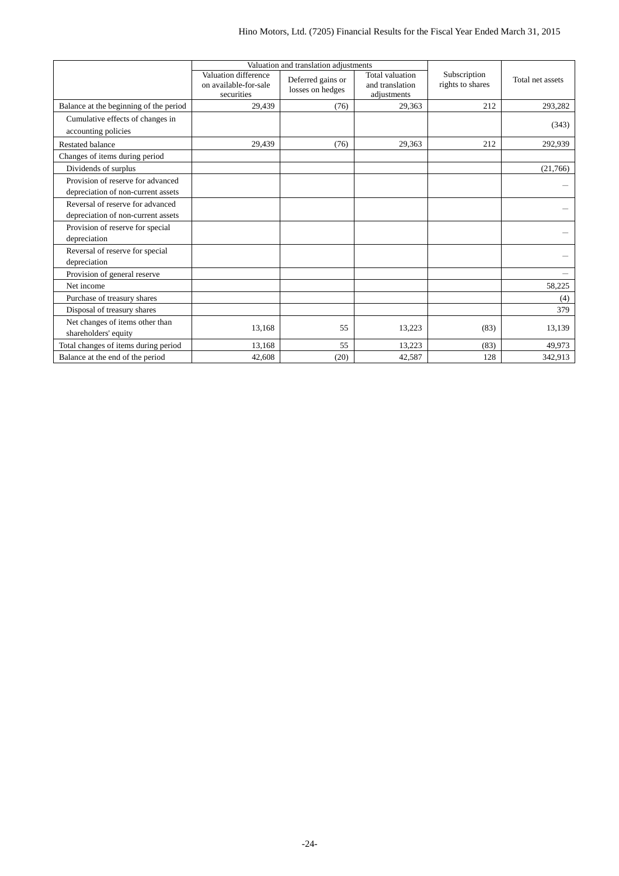|                                        |                                                             | Valuation and translation adjustments |                                                   |                                  |                  |
|----------------------------------------|-------------------------------------------------------------|---------------------------------------|---------------------------------------------------|----------------------------------|------------------|
|                                        | Valuation difference<br>on available-for-sale<br>securities | Deferred gains or<br>losses on hedges | Total valuation<br>and translation<br>adiustments | Subscription<br>rights to shares | Total net assets |
| Balance at the beginning of the period | 29,439                                                      | (76)                                  | 29,363                                            | 212                              | 293,282          |
| Cumulative effects of changes in       |                                                             |                                       |                                                   |                                  | (343)            |
| accounting policies                    |                                                             |                                       |                                                   |                                  |                  |
| <b>Restated balance</b>                | 29,439                                                      | (76)                                  | 29,363                                            | 212                              | 292,939          |
| Changes of items during period         |                                                             |                                       |                                                   |                                  |                  |
| Dividends of surplus                   |                                                             |                                       |                                                   |                                  | (21,766)         |
| Provision of reserve for advanced      |                                                             |                                       |                                                   |                                  |                  |
| depreciation of non-current assets     |                                                             |                                       |                                                   |                                  |                  |
| Reversal of reserve for advanced       |                                                             |                                       |                                                   |                                  |                  |
| depreciation of non-current assets     |                                                             |                                       |                                                   |                                  |                  |
| Provision of reserve for special       |                                                             |                                       |                                                   |                                  |                  |
| depreciation                           |                                                             |                                       |                                                   |                                  |                  |
| Reversal of reserve for special        |                                                             |                                       |                                                   |                                  |                  |
| depreciation                           |                                                             |                                       |                                                   |                                  |                  |
| Provision of general reserve           |                                                             |                                       |                                                   |                                  |                  |
| Net income                             |                                                             |                                       |                                                   |                                  | 58,225           |
| Purchase of treasury shares            |                                                             |                                       |                                                   |                                  | (4)              |
| Disposal of treasury shares            |                                                             |                                       |                                                   |                                  | 379              |
| Net changes of items other than        | 13.168                                                      | 55                                    | 13,223                                            | (83)                             | 13,139           |
| shareholders' equity                   |                                                             |                                       |                                                   |                                  |                  |
| Total changes of items during period   | 13,168                                                      | 55                                    | 13,223                                            | (83)                             | 49,973           |
| Balance at the end of the period       | 42,608                                                      | (20)                                  | 42,587                                            | 128                              | 342,913          |